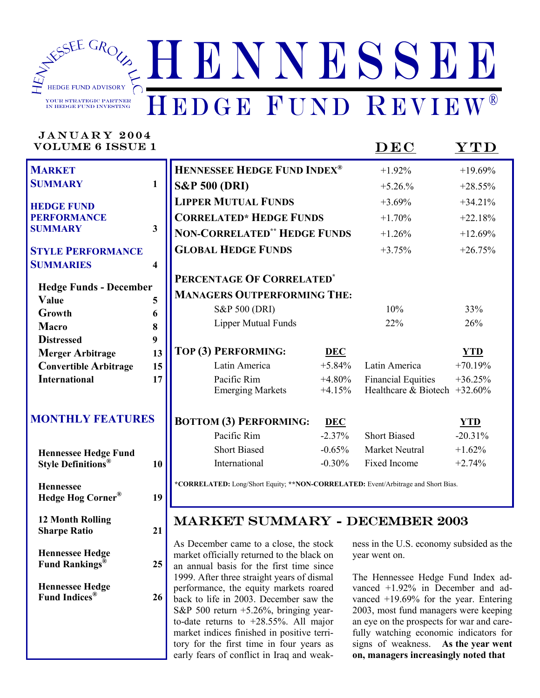

# JANUARY 2004

 **Hennessee** 

 **12 Month Rolling** 

 **Hennessee Hedge** 

 **Hennessee Hedge** 

 **Hedge Hog Corner® 19** 

 **Sharpe Ratio 21** 

 **Fund Rankings® 25** 

 **Fund Indices® 26** 

VOLUME 6 ISSUE 1 DEC YTD

| <b>MARKET</b>                         |                         | <b>HENNESSEE HEDGE FUND INDEX®</b>  |            | $+1.92%$                        | $+19.69%$  |
|---------------------------------------|-------------------------|-------------------------------------|------------|---------------------------------|------------|
| <b>SUMMARY</b>                        | $\mathbf{1}$            | <b>S&amp;P 500 (DRI)</b>            |            | $+5.26%$                        | $+28.55%$  |
| <b>HEDGE FUND</b>                     |                         | <b>LIPPER MUTUAL FUNDS</b>          |            | $+3.69%$                        | $+34.21%$  |
| <b>PERFORMANCE</b>                    |                         | <b>CORRELATED* HEDGE FUNDS</b>      |            | $+1.70%$                        | $+22.18%$  |
| <b>SUMMARY</b>                        | $\mathbf{3}$            | <b>NON-CORRELATED** HEDGE FUNDS</b> |            | $+1.26%$                        | $+12.69%$  |
| <b>STYLE PERFORMANCE</b>              |                         | <b>GLOBAL HEDGE FUNDS</b>           |            | $+3.75%$                        | $+26.75%$  |
| <b>SUMMARIES</b>                      | $\overline{\mathbf{4}}$ |                                     |            |                                 |            |
| <b>Hedge Funds - December</b>         |                         | PERCENTAGE OF CORRELATED*           |            |                                 |            |
| Value                                 | 5                       | <b>MANAGERS OUTPERFORMING THE:</b>  |            |                                 |            |
| Growth                                | 6                       | S&P 500 (DRI)                       |            | 10%                             | 33%        |
| Macro                                 | 8                       | <b>Lipper Mutual Funds</b>          |            | 22%                             | 26%        |
| <b>Distressed</b>                     | 9                       |                                     |            |                                 |            |
| <b>Merger Arbitrage</b>               | 13                      | TOP (3) PERFORMING:                 | <b>DEC</b> |                                 | <b>YTD</b> |
| <b>Convertible Arbitrage</b>          | 15                      | Latin America                       | $+5.84%$   | Latin America                   | $+70.19%$  |
| <b>International</b>                  | 17                      | Pacific Rim                         | $+4.80%$   | <b>Financial Equities</b>       | $+36.25%$  |
|                                       |                         | <b>Emerging Markets</b>             | $+4.15%$   | Healthcare & Biotech $+32.60\%$ |            |
| <b>MONTHLY FEATURES</b>               |                         | <b>BOTTOM (3) PERFORMING:</b>       | <b>DEC</b> |                                 | YTD        |
|                                       |                         | Pacific Rim                         | $-2.37%$   | <b>Short Biased</b>             | $-20.31%$  |
| <b>Hennessee Hedge Fund</b>           |                         | <b>Short Biased</b>                 | $-0.65%$   | <b>Market Neutral</b>           | $+1.62%$   |
| <b>Style Definitions</b> <sup>®</sup> | 10                      | International                       | $-0.30%$   | Fixed Income                    | $+2.74%$   |
|                                       |                         |                                     |            |                                 |            |

**\*CORRELATED:** Long/Short Equity; **\*\*NON-CORRELATED:** Event/Arbitrage and Short Bias.

## MARKET SUMMARY - DECEMBER 2003

As December came to a close, the stock market officially returned to the black on an annual basis for the first time since 1999. After three straight years of dismal performance, the equity markets roared back to life in 2003. December saw the S&P 500 return +5.26%, bringing yearto-date returns to +28.55%. All major market indices finished in positive territory for the first time in four years as early fears of conflict in Iraq and weakness in the U.S. economy subsided as the year went on.

The Hennessee Hedge Fund Index advanced +1.92% in December and advanced +19.69% for the year. Entering 2003, most fund managers were keeping an eye on the prospects for war and carefully watching economic indicators for signs of weakness. **As the year went on, managers increasingly noted that**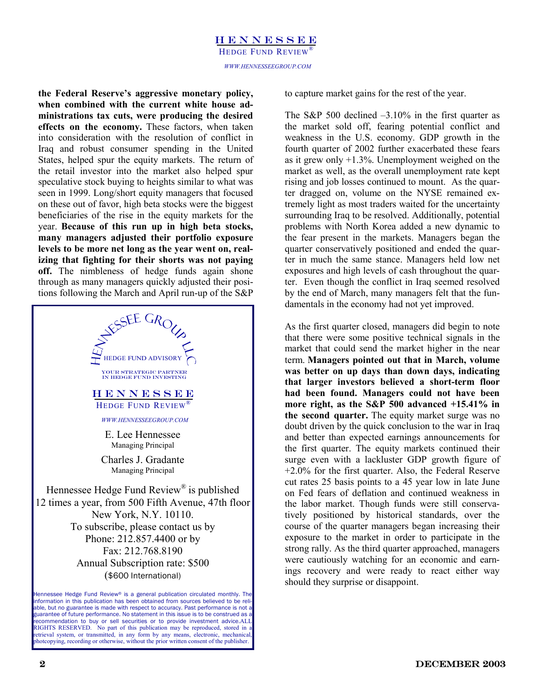**the Federal Reserve's aggressive monetary policy, when combined with the current white house administrations tax cuts, were producing the desired effects on the economy.** These factors, when taken into consideration with the resolution of conflict in Iraq and robust consumer spending in the United States, helped spur the equity markets. The return of the retail investor into the market also helped spur speculative stock buying to heights similar to what was seen in 1999. Long/short equity managers that focused on these out of favor, high beta stocks were the biggest beneficiaries of the rise in the equity markets for the year. **Because of this run up in high beta stocks, many managers adjusted their portfolio exposure levels to be more net long as the year went on, realizing that fighting for their shorts was not paying off.** The nimbleness of hedge funds again shone through as many managers quickly adjusted their positions following the March and April run-up of the S&P



Hennessee Hedge Fund Review® is a general publication circulated monthly. The information in this publication has been obtained from sources believed to be reliable, but no guarantee is made with respect to accuracy. Past performance is not a guarantee of future performance. No statement in this issue is to be construed as a recommendation to buy or sell securities or to provide investment advice.ALL RIGHTS RESERVED. No part of this publication may be reproduced, stored in etrieval system, or transmitted, in any form by any means, electronic, mechanical photcopying, recording or otherwise, without the prior written consent of the publisher.

to capture market gains for the rest of the year.

The S&P 500 declined  $-3.10\%$  in the first quarter as the market sold off, fearing potential conflict and weakness in the U.S. economy. GDP growth in the fourth quarter of 2002 further exacerbated these fears as it grew only +1.3%. Unemployment weighed on the market as well, as the overall unemployment rate kept rising and job losses continued to mount. As the quarter dragged on, volume on the NYSE remained extremely light as most traders waited for the uncertainty surrounding Iraq to be resolved. Additionally, potential problems with North Korea added a new dynamic to the fear present in the markets. Managers began the quarter conservatively positioned and ended the quarter in much the same stance. Managers held low net exposures and high levels of cash throughout the quarter. Even though the conflict in Iraq seemed resolved by the end of March, many managers felt that the fundamentals in the economy had not yet improved.

As the first quarter closed, managers did begin to note that there were some positive technical signals in the market that could send the market higher in the near term. **Managers pointed out that in March, volume was better on up days than down days, indicating that larger investors believed a short-term floor had been found. Managers could not have been more right, as the S&P 500 advanced +15.41% in the second quarter.** The equity market surge was no doubt driven by the quick conclusion to the war in Iraq and better than expected earnings announcements for the first quarter. The equity markets continued their surge even with a lackluster GDP growth figure of +2.0% for the first quarter. Also, the Federal Reserve cut rates 25 basis points to a 45 year low in late June on Fed fears of deflation and continued weakness in the labor market. Though funds were still conservatively positioned by historical standards, over the course of the quarter managers began increasing their exposure to the market in order to participate in the strong rally. As the third quarter approached, managers were cautiously watching for an economic and earnings recovery and were ready to react either way should they surprise or disappoint.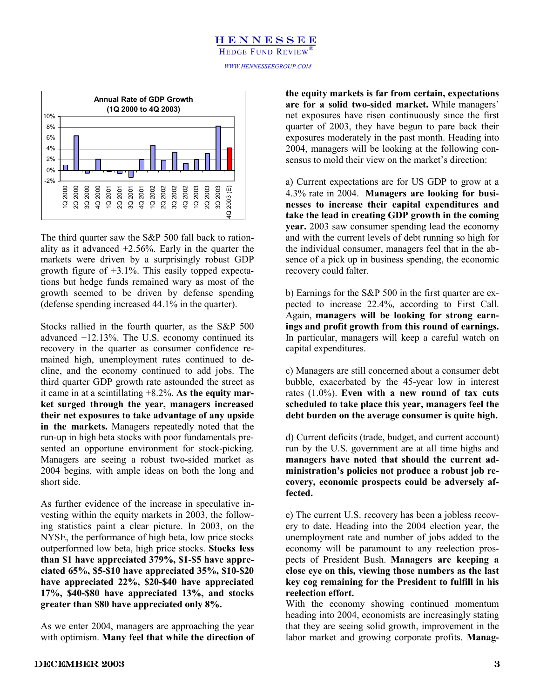### **HENNESSEE** HEDGE FUND REVIEW

*WWW.HENNESSEEGROUP.COM* 



The third quarter saw the S&P 500 fall back to rationality as it advanced  $+2.56\%$ . Early in the quarter the markets were driven by a surprisingly robust GDP growth figure of +3.1%. This easily topped expectations but hedge funds remained wary as most of the growth seemed to be driven by defense spending (defense spending increased 44.1% in the quarter).

Stocks rallied in the fourth quarter, as the S&P 500 advanced +12.13%. The U.S. economy continued its recovery in the quarter as consumer confidence remained high, unemployment rates continued to decline, and the economy continued to add jobs. The third quarter GDP growth rate astounded the street as it came in at a scintillating +8.2%. **As the equity market surged through the year, managers increased their net exposures to take advantage of any upside in the markets.** Managers repeatedly noted that the run-up in high beta stocks with poor fundamentals presented an opportune environment for stock-picking. Managers are seeing a robust two-sided market as 2004 begins, with ample ideas on both the long and short side.

As further evidence of the increase in speculative investing within the equity markets in 2003, the following statistics paint a clear picture. In 2003, on the NYSE, the performance of high beta, low price stocks outperformed low beta, high price stocks. **Stocks less than \$1 have appreciated 379%, \$1-\$5 have appreciated 65%, \$5-\$10 have appreciated 35%, \$10-\$20 have appreciated 22%, \$20-\$40 have appreciated 17%, \$40-\$80 have appreciated 13%, and stocks greater than \$80 have appreciated only 8%.**

As we enter 2004, managers are approaching the year with optimism. **Many feel that while the direction of** 

**the equity markets is far from certain, expectations are for a solid two-sided market.** While managers' net exposures have risen continuously since the first quarter of 2003, they have begun to pare back their exposures moderately in the past month. Heading into 2004, managers will be looking at the following consensus to mold their view on the market's direction:

a) Current expectations are for US GDP to grow at a 4.3% rate in 2004. **Managers are looking for businesses to increase their capital expenditures and take the lead in creating GDP growth in the coming year.** 2003 saw consumer spending lead the economy and with the current levels of debt running so high for the individual consumer, managers feel that in the absence of a pick up in business spending, the economic recovery could falter.

b) Earnings for the S&P 500 in the first quarter are expected to increase 22.4%, according to First Call. Again, **managers will be looking for strong earnings and profit growth from this round of earnings.** In particular, managers will keep a careful watch on capital expenditures.

c) Managers are still concerned about a consumer debt bubble, exacerbated by the 45-year low in interest rates (1.0%). **Even with a new round of tax cuts scheduled to take place this year, managers feel the debt burden on the average consumer is quite high.**

d) Current deficits (trade, budget, and current account) run by the U.S. government are at all time highs and **managers have noted that should the current administration's policies not produce a robust job recovery, economic prospects could be adversely affected.**

e) The current U.S. recovery has been a jobless recovery to date. Heading into the 2004 election year, the unemployment rate and number of jobs added to the economy will be paramount to any reelection prospects of President Bush. **Managers are keeping a close eye on this, viewing those numbers as the last key cog remaining for the President to fulfill in his reelection effort.**

With the economy showing continued momentum heading into 2004, economists are increasingly stating that they are seeing solid growth, improvement in the labor market and growing corporate profits. **Manag-**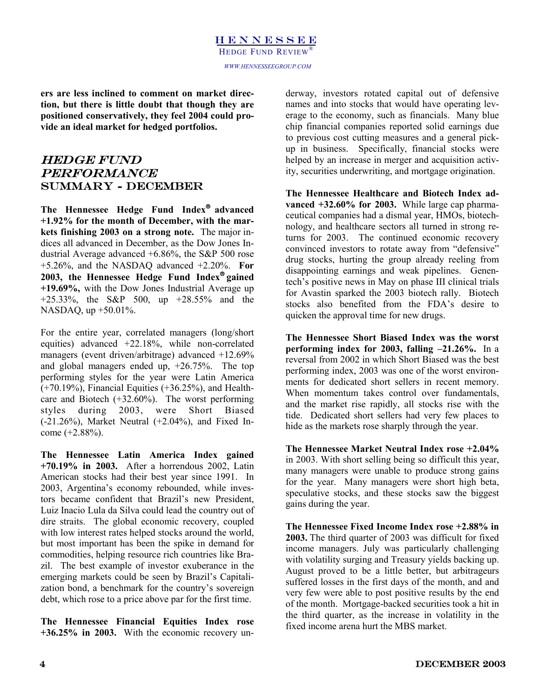**ers are less inclined to comment on market direction, but there is little doubt that though they are positioned conservatively, they feel 2004 could provide an ideal market for hedged portfolios.**

### Hedge Fund PERFORMANCE Summary - December

The Hennessee Hedge Fund Index<sup>®</sup> advanced **+1.92% for the month of December, with the markets finishing 2003 on a strong note.** The major indices all advanced in December, as the Dow Jones Industrial Average advanced +6.86%, the S&P 500 rose +5.26%, and the NASDAQ advanced +2.20%. **For 2003, the Hennessee Hedge Fund Index gained +19.69%,** with the Dow Jones Industrial Average up +25.33%, the S&P 500, up +28.55% and the NASDAQ, up +50.01%.

For the entire year, correlated managers (long/short equities) advanced +22.18%, while non-correlated managers (event driven/arbitrage) advanced +12.69% and global managers ended up, +26.75%. The top performing styles for the year were Latin America (+70.19%), Financial Equities (+36.25%), and Healthcare and Biotech (+32.60%). The worst performing styles during 2003, were Short Biased (-21.26%), Market Neutral (+2.04%), and Fixed Income (+2.88%).

**The Hennessee Latin America Index gained +70.19% in 2003.** After a horrendous 2002, Latin American stocks had their best year since 1991. In 2003, Argentina's economy rebounded, while investors became confident that Brazil's new President, Luiz Inacio Lula da Silva could lead the country out of dire straits. The global economic recovery, coupled with low interest rates helped stocks around the world, but most important has been the spike in demand for commodities, helping resource rich countries like Brazil. The best example of investor exuberance in the emerging markets could be seen by Brazil's Capitalization bond, a benchmark for the country's sovereign debt, which rose to a price above par for the first time.

**The Hennessee Financial Equities Index rose +36.25% in 2003.** With the economic recovery un-

derway, investors rotated capital out of defensive names and into stocks that would have operating leverage to the economy, such as financials. Many blue chip financial companies reported solid earnings due to previous cost cutting measures and a general pickup in business. Specifically, financial stocks were helped by an increase in merger and acquisition activity, securities underwriting, and mortgage origination.

**The Hennessee Healthcare and Biotech Index advanced +32.60% for 2003.** While large cap pharmaceutical companies had a dismal year, HMOs, biotechnology, and healthcare sectors all turned in strong returns for 2003. The continued economic recovery convinced investors to rotate away from "defensive" drug stocks, hurting the group already reeling from disappointing earnings and weak pipelines. Genentech's positive news in May on phase III clinical trials for Avastin sparked the 2003 biotech rally. Biotech stocks also benefited from the FDA's desire to quicken the approval time for new drugs.

**The Hennessee Short Biased Index was the worst performing index for 2003, falling –21.26%.** In a reversal from 2002 in which Short Biased was the best performing index, 2003 was one of the worst environments for dedicated short sellers in recent memory. When momentum takes control over fundamentals, and the market rise rapidly, all stocks rise with the tide. Dedicated short sellers had very few places to hide as the markets rose sharply through the year.

**The Hennessee Market Neutral Index rose +2.04%** in 2003. With short selling being so difficult this year, many managers were unable to produce strong gains for the year. Many managers were short high beta, speculative stocks, and these stocks saw the biggest gains during the year.

**The Hennessee Fixed Income Index rose +2.88% in 2003.** The third quarter of 2003 was difficult for fixed income managers. July was particularly challenging with volatility surging and Treasury yields backing up. August proved to be a little better, but arbitrageurs suffered losses in the first days of the month, and and very few were able to post positive results by the end of the month. Mortgage-backed securities took a hit in the third quarter, as the increase in volatility in the fixed income arena hurt the MBS market.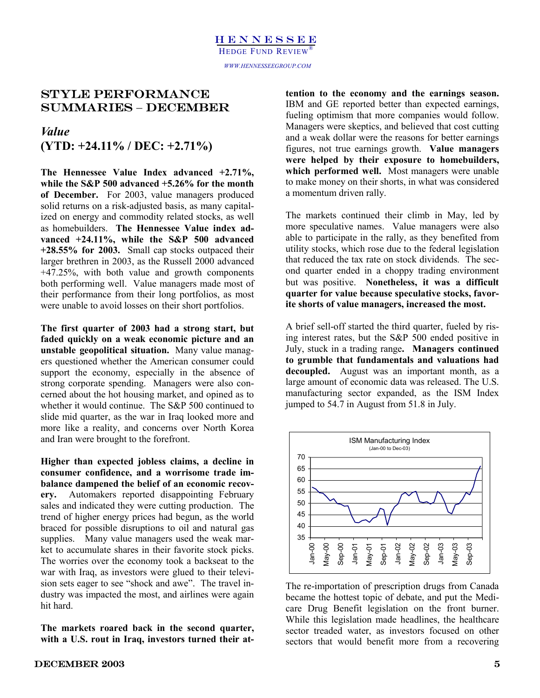### STYLE PERFORMANCE SUMMARIES – decemBER

### *Value*  **(YTD: +24.11% / DEC: +2.71%)**

**The Hennessee Value Index advanced +2.71%, while the S&P 500 advanced +5.26% for the month of December.** For 2003, value managers produced solid returns on a risk-adjusted basis, as many capitalized on energy and commodity related stocks, as well as homebuilders. **The Hennessee Value index advanced +24.11%, while the S&P 500 advanced +28.55% for 2003.** Small cap stocks outpaced their larger brethren in 2003, as the Russell 2000 advanced +47.25%, with both value and growth components both performing well. Value managers made most of their performance from their long portfolios, as most were unable to avoid losses on their short portfolios.

**The first quarter of 2003 had a strong start, but faded quickly on a weak economic picture and an unstable geopolitical situation.** Many value managers questioned whether the American consumer could support the economy, especially in the absence of strong corporate spending. Managers were also concerned about the hot housing market, and opined as to whether it would continue. The S&P 500 continued to slide mid quarter, as the war in Iraq looked more and more like a reality, and concerns over North Korea and Iran were brought to the forefront.

**Higher than expected jobless claims, a decline in consumer confidence, and a worrisome trade imbalance dampened the belief of an economic recovery.** Automakers reported disappointing February sales and indicated they were cutting production. The trend of higher energy prices had begun, as the world braced for possible disruptions to oil and natural gas supplies. Many value managers used the weak market to accumulate shares in their favorite stock picks. The worries over the economy took a backseat to the war with Iraq, as investors were glued to their television sets eager to see "shock and awe". The travel industry was impacted the most, and airlines were again hit hard.

**The markets roared back in the second quarter, with a U.S. rout in Iraq, investors turned their at-** **tention to the economy and the earnings season.** IBM and GE reported better than expected earnings, fueling optimism that more companies would follow. Managers were skeptics, and believed that cost cutting and a weak dollar were the reasons for better earnings figures, not true earnings growth. **Value managers were helped by their exposure to homebuilders, which performed well.** Most managers were unable to make money on their shorts, in what was considered a momentum driven rally.

The markets continued their climb in May, led by more speculative names. Value managers were also able to participate in the rally, as they benefited from utility stocks, which rose due to the federal legislation that reduced the tax rate on stock dividends. The second quarter ended in a choppy trading environment but was positive. **Nonetheless, it was a difficult quarter for value because speculative stocks, favorite shorts of value managers, increased the most.** 

A brief sell-off started the third quarter, fueled by rising interest rates, but the S&P 500 ended positive in July, stuck in a trading range**. Managers continued to grumble that fundamentals and valuations had decoupled.** August was an important month, as a large amount of economic data was released. The U.S. manufacturing sector expanded, as the ISM Index jumped to 54.7 in August from 51.8 in July.



The re-importation of prescription drugs from Canada became the hottest topic of debate, and put the Medicare Drug Benefit legislation on the front burner. While this legislation made headlines, the healthcare sector treaded water, as investors focused on other sectors that would benefit more from a recovering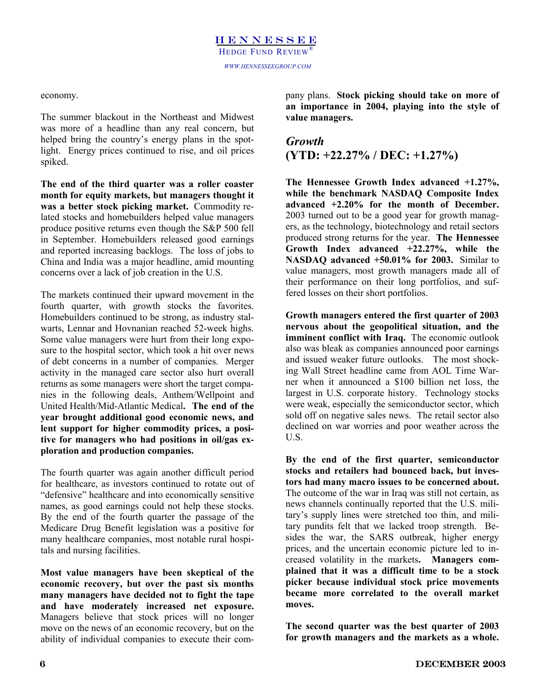### economy.

The summer blackout in the Northeast and Midwest was more of a headline than any real concern, but helped bring the country's energy plans in the spotlight. Energy prices continued to rise, and oil prices spiked.

**The end of the third quarter was a roller coaster month for equity markets, but managers thought it was a better stock picking market.** Commodity related stocks and homebuilders helped value managers produce positive returns even though the S&P 500 fell in September. Homebuilders released good earnings and reported increasing backlogs. The loss of jobs to China and India was a major headline, amid mounting concerns over a lack of job creation in the U.S.

The markets continued their upward movement in the fourth quarter, with growth stocks the favorites. Homebuilders continued to be strong, as industry stalwarts, Lennar and Hovnanian reached 52-week highs. Some value managers were hurt from their long exposure to the hospital sector, which took a hit over news of debt concerns in a number of companies. Merger activity in the managed care sector also hurt overall returns as some managers were short the target companies in the following deals, Anthem/Wellpoint and United Health/Mid-Atlantic Medical**. The end of the year brought additional good economic news, and lent support for higher commodity prices, a positive for managers who had positions in oil/gas exploration and production companies.** 

The fourth quarter was again another difficult period for healthcare, as investors continued to rotate out of "defensive" healthcare and into economically sensitive names, as good earnings could not help these stocks. By the end of the fourth quarter the passage of the Medicare Drug Benefit legislation was a positive for many healthcare companies, most notable rural hospitals and nursing facilities.

**Most value managers have been skeptical of the economic recovery, but over the past six months many managers have decided not to fight the tape and have moderately increased net exposure.**  Managers believe that stock prices will no longer move on the news of an economic recovery, but on the ability of individual companies to execute their company plans. **Stock picking should take on more of an importance in 2004, playing into the style of value managers.** 

## *Growth*  **(YTD: +22.27% / DEC: +1.27%)**

**The Hennessee Growth Index advanced +1.27%, while the benchmark NASDAQ Composite Index advanced +2.20% for the month of December.**  2003 turned out to be a good year for growth managers, as the technology, biotechnology and retail sectors produced strong returns for the year. **The Hennessee Growth Index advanced +22.27%, while the NASDAQ advanced +50.01% for 2003.** Similar to value managers, most growth managers made all of their performance on their long portfolios, and suffered losses on their short portfolios.

**Growth managers entered the first quarter of 2003 nervous about the geopolitical situation, and the imminent conflict with Iraq.** The economic outlook also was bleak as companies announced poor earnings and issued weaker future outlooks. The most shocking Wall Street headline came from AOL Time Warner when it announced a \$100 billion net loss, the largest in U.S. corporate history. Technology stocks were weak, especially the semiconductor sector, which sold off on negative sales news. The retail sector also declined on war worries and poor weather across the U.S.

**By the end of the first quarter, semiconductor stocks and retailers had bounced back, but investors had many macro issues to be concerned about.** The outcome of the war in Iraq was still not certain, as news channels continually reported that the U.S. military's supply lines were stretched too thin, and military pundits felt that we lacked troop strength. Besides the war, the SARS outbreak, higher energy prices, and the uncertain economic picture led to increased volatility in the markets**. Managers complained that it was a difficult time to be a stock picker because individual stock price movements became more correlated to the overall market moves.** 

**The second quarter was the best quarter of 2003 for growth managers and the markets as a whole.**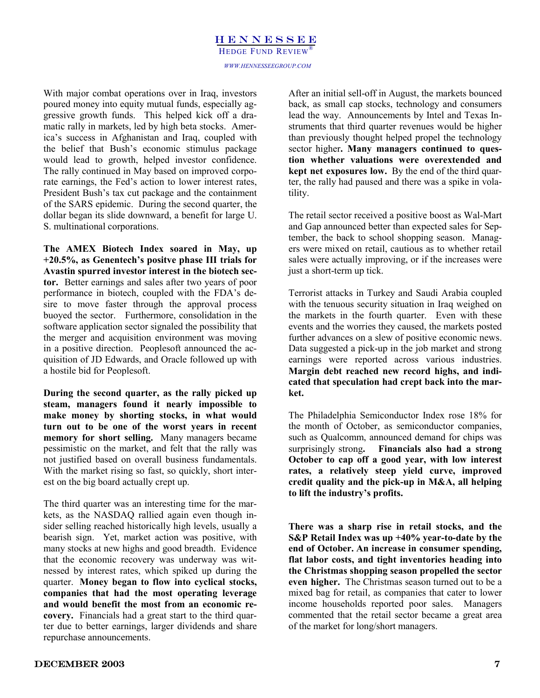### HENNESSEE *WWW.HENNESSEEGROUP.COM*  HEDGE FUND REVIEW®

With major combat operations over in Iraq, investors poured money into equity mutual funds, especially aggressive growth funds. This helped kick off a dramatic rally in markets, led by high beta stocks. America's success in Afghanistan and Iraq, coupled with the belief that Bush's economic stimulus package would lead to growth, helped investor confidence. The rally continued in May based on improved corporate earnings, the Fed's action to lower interest rates, President Bush's tax cut package and the containment of the SARS epidemic. During the second quarter, the dollar began its slide downward, a benefit for large U. S. multinational corporations.

**The AMEX Biotech Index soared in May, up +20.5%, as Genentech's positve phase III trials for Avastin spurred investor interest in the biotech sector.** Better earnings and sales after two years of poor performance in biotech, coupled with the FDA's desire to move faster through the approval process buoyed the sector. Furthermore, consolidation in the software application sector signaled the possibility that the merger and acquisition environment was moving in a positive direction. Peoplesoft announced the acquisition of JD Edwards, and Oracle followed up with a hostile bid for Peoplesoft.

**During the second quarter, as the rally picked up steam, managers found it nearly impossible to make money by shorting stocks, in what would turn out to be one of the worst years in recent memory for short selling.** Many managers became pessimistic on the market, and felt that the rally was not justified based on overall business fundamentals. With the market rising so fast, so quickly, short interest on the big board actually crept up.

The third quarter was an interesting time for the markets, as the NASDAQ rallied again even though insider selling reached historically high levels, usually a bearish sign. Yet, market action was positive, with many stocks at new highs and good breadth. Evidence that the economic recovery was underway was witnessed by interest rates, which spiked up during the quarter. **Money began to flow into cyclical stocks, companies that had the most operating leverage and would benefit the most from an economic recovery.** Financials had a great start to the third quarter due to better earnings, larger dividends and share repurchase announcements.

After an initial sell-off in August, the markets bounced back, as small cap stocks, technology and consumers lead the way. Announcements by Intel and Texas Instruments that third quarter revenues would be higher than previously thought helped propel the technology sector higher**. Many managers continued to question whether valuations were overextended and kept net exposures low.** By the end of the third quarter, the rally had paused and there was a spike in volatility.

The retail sector received a positive boost as Wal-Mart and Gap announced better than expected sales for September, the back to school shopping season. Managers were mixed on retail, cautious as to whether retail sales were actually improving, or if the increases were just a short-term up tick.

Terrorist attacks in Turkey and Saudi Arabia coupled with the tenuous security situation in Iraq weighed on the markets in the fourth quarter. Even with these events and the worries they caused, the markets posted further advances on a slew of positive economic news. Data suggested a pick-up in the job market and strong earnings were reported across various industries. **Margin debt reached new record highs, and indicated that speculation had crept back into the market.**

The Philadelphia Semiconductor Index rose 18% for the month of October, as semiconductor companies, such as Qualcomm, announced demand for chips was surprisingly strong**. Financials also had a strong October to cap off a good year, with low interest rates, a relatively steep yield curve, improved credit quality and the pick-up in M&A, all helping to lift the industry's profits.** 

**There was a sharp rise in retail stocks, and the S&P Retail Index was up +40% year-to-date by the end of October. An increase in consumer spending, flat labor costs, and tight inventories heading into the Christmas shopping season propelled the sector even higher.** The Christmas season turned out to be a mixed bag for retail, as companies that cater to lower income households reported poor sales. Managers commented that the retail sector became a great area of the market for long/short managers.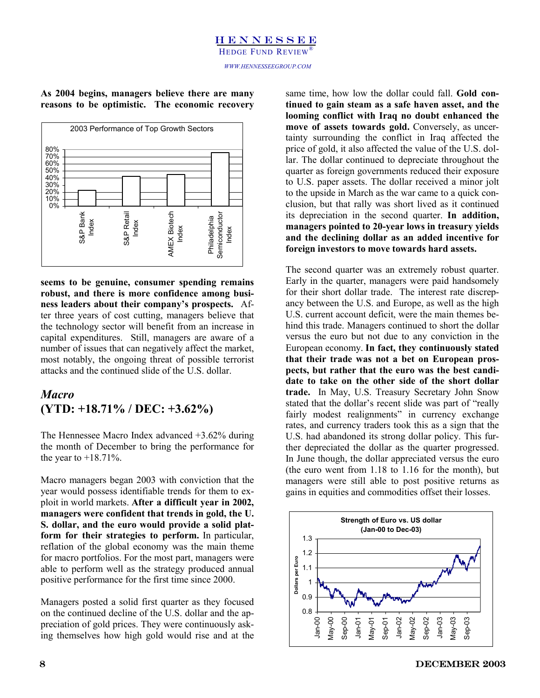# HENNESSEE HEDGE FUND REVIEW®

### **As 2004 begins, managers believe there are many reasons to be optimistic. The economic recovery**



**seems to be genuine, consumer spending remains robust, and there is more confidence among business leaders about their company's prospects.** After three years of cost cutting, managers believe that the technology sector will benefit from an increase in capital expenditures. Still, managers are aware of a number of issues that can negatively affect the market, most notably, the ongoing threat of possible terrorist attacks and the continued slide of the U.S. dollar.

# *Macro*  **(YTD: +18.71% / DEC: +3.62%)**

The Hennessee Macro Index advanced +3.62% during the month of December to bring the performance for the year to  $+18.71\%$ .

Macro managers began 2003 with conviction that the year would possess identifiable trends for them to exploit in world markets. **After a difficult year in 2002, managers were confident that trends in gold, the U. S. dollar, and the euro would provide a solid platform for their strategies to perform.** In particular, reflation of the global economy was the main theme for macro portfolios. For the most part, managers were able to perform well as the strategy produced annual positive performance for the first time since 2000.

Managers posted a solid first quarter as they focused on the continued decline of the U.S. dollar and the appreciation of gold prices. They were continuously asking themselves how high gold would rise and at the

same time, how low the dollar could fall. **Gold continued to gain steam as a safe haven asset, and the looming conflict with Iraq no doubt enhanced the move of assets towards gold.** Conversely, as uncertainty surrounding the conflict in Iraq affected the price of gold, it also affected the value of the U.S. dollar. The dollar continued to depreciate throughout the quarter as foreign governments reduced their exposure to U.S. paper assets. The dollar received a minor jolt to the upside in March as the war came to a quick conclusion, but that rally was short lived as it continued its depreciation in the second quarter. **In addition, managers pointed to 20-year lows in treasury yields and the declining dollar as an added incentive for foreign investors to move towards hard assets.**

The second quarter was an extremely robust quarter. Early in the quarter, managers were paid handsomely for their short dollar trade. The interest rate discrepancy between the U.S. and Europe, as well as the high U.S. current account deficit, were the main themes behind this trade. Managers continued to short the dollar versus the euro but not due to any conviction in the European economy. **In fact, they continuously stated that their trade was not a bet on European prospects, but rather that the euro was the best candidate to take on the other side of the short dollar trade.** In May, U.S. Treasury Secretary John Snow stated that the dollar's recent slide was part of "really fairly modest realignments" in currency exchange rates, and currency traders took this as a sign that the U.S. had abandoned its strong dollar policy. This further depreciated the dollar as the quarter progressed. In June though, the dollar appreciated versus the euro (the euro went from 1.18 to 1.16 for the month), but managers were still able to post positive returns as gains in equities and commodities offset their losses.

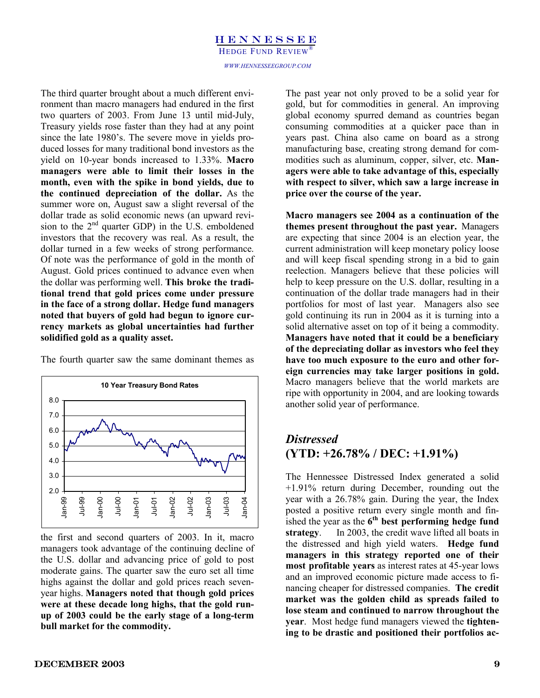### HENNESSEE *WWW.HENNESSEEGROUP.COM*  HEDGE FUND REVIEW®

The third quarter brought about a much different environment than macro managers had endured in the first two quarters of 2003. From June 13 until mid-July, Treasury yields rose faster than they had at any point since the late 1980's. The severe move in yields produced losses for many traditional bond investors as the yield on 10-year bonds increased to 1.33%. **Macro managers were able to limit their losses in the month, even with the spike in bond yields, due to the continued depreciation of the dollar.** As the summer wore on, August saw a slight reversal of the dollar trade as solid economic news (an upward revision to the 2<sup>nd</sup> quarter GDP) in the U.S. emboldened investors that the recovery was real. As a result, the dollar turned in a few weeks of strong performance. Of note was the performance of gold in the month of August. Gold prices continued to advance even when the dollar was performing well. **This broke the traditional trend that gold prices come under pressure in the face of a strong dollar. Hedge fund managers noted that buyers of gold had begun to ignore currency markets as global uncertainties had further solidified gold as a quality asset.**

**10 Year Treasury Bond Rates** 2.0 3.0 4.0 5.0 6.0 7.0 8.0 Jan-99 Jul-99 Jan-00 Jul-00 Jan-01 Jul-01 Jan-02 Jul-02 Jan-03 Jul-03 Jan-04

The fourth quarter saw the same dominant themes as

the first and second quarters of 2003. In it, macro managers took advantage of the continuing decline of the U.S. dollar and advancing price of gold to post moderate gains. The quarter saw the euro set all time highs against the dollar and gold prices reach sevenyear highs. **Managers noted that though gold prices were at these decade long highs, that the gold runup of 2003 could be the early stage of a long-term bull market for the commodity.**

The past year not only proved to be a solid year for gold, but for commodities in general. An improving global economy spurred demand as countries began consuming commodities at a quicker pace than in years past. China also came on board as a strong manufacturing base, creating strong demand for commodities such as aluminum, copper, silver, etc. **Managers were able to take advantage of this, especially with respect to silver, which saw a large increase in price over the course of the year.**

**Macro managers see 2004 as a continuation of the themes present throughout the past year.** Managers are expecting that since 2004 is an election year, the current administration will keep monetary policy loose and will keep fiscal spending strong in a bid to gain reelection. Managers believe that these policies will help to keep pressure on the U.S. dollar, resulting in a continuation of the dollar trade managers had in their portfolios for most of last year. Managers also see gold continuing its run in 2004 as it is turning into a solid alternative asset on top of it being a commodity. **Managers have noted that it could be a beneficiary of the depreciating dollar as investors who feel they have too much exposure to the euro and other foreign currencies may take larger positions in gold.** Macro managers believe that the world markets are ripe with opportunity in 2004, and are looking towards another solid year of performance.

# *Distressed*  **(YTD: +26.78% / DEC: +1.91%)**

The Hennessee Distressed Index generated a solid +1.91% return during December, rounding out the year with a 26.78% gain. During the year, the Index posted a positive return every single month and finished the year as the **6th best performing hedge fund strategy**. In 2003, the credit wave lifted all boats in the distressed and high yield waters. **Hedge fund managers in this strategy reported one of their most profitable years** as interest rates at 45-year lows and an improved economic picture made access to financing cheaper for distressed companies. **The credit market was the golden child as spreads failed to lose steam and continued to narrow throughout the year**. Most hedge fund managers viewed the **tightening to be drastic and positioned their portfolios ac-**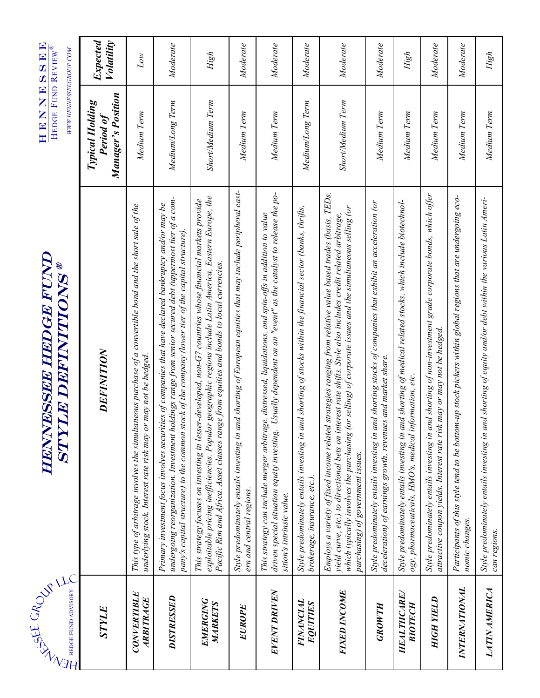| <b>SULL UND WATER</b><br>HEDGE FUND ADVISORY | <b>HENNESSEE HEDGE FUND</b><br>STYLE DEFINITIONS®                                                                                                                                                                                                                                                                                                                              | HENNESSER<br>HEDGE FUND REVIEW®<br>WWW.HENNESSEEGROUP.COM        |                               |
|----------------------------------------------|--------------------------------------------------------------------------------------------------------------------------------------------------------------------------------------------------------------------------------------------------------------------------------------------------------------------------------------------------------------------------------|------------------------------------------------------------------|-------------------------------|
| STYLE                                        | DEFINITION                                                                                                                                                                                                                                                                                                                                                                     | <b>Manager's Position</b><br><b>Typical Holding</b><br>Period of | Expected<br><b>Volatility</b> |
| CONVERTIBLE<br>ARBITRAGE                     | This type of arbitrage involves the simultaneous purchase of a convertible bond and the short sale of the<br>underlying stock. Interest rate risk may or may not be hedged.                                                                                                                                                                                                    | Medium Term                                                      | Lοw                           |
| DISTRESSED                                   | holdings range from senior secured debt (uppermost tier of a com-<br>Primary investment focus involves securities of companies that have declared bankruptcy and/or may be<br>pany's capital structure) to the common stock of the company (lower tier of the capital structure)<br>undergoing reorganization. Investment                                                      | Medium/Long Term                                                 | Moderate                      |
| EMERGING<br>MARKETS                          | exploitable pricing inefficiencies. Popular geographic regions include Latin America, Eastern Europe, the<br>This strategy focuses on investing in lesser-developed, non-G7 countries whose financial markets provide<br>Pacific Rim and Africa. Asset classes range from equities and bonds to local currencies.                                                              | Short/Medium Term                                                | High                          |
| <b>EUROPE</b>                                | and shorting of European equities that may include peripheral east-<br>Style predominately entails investing in<br>ern and central regions.                                                                                                                                                                                                                                    | Medium Term                                                      | Moderate                      |
| EVENT DRIVEN                                 | Usually dependent on an "event" as the catalyst to release the po-<br>This strategy can include merger arbitrage, distressed, liquidations, and spin-offs in addition to value<br>driven special situation equity investing<br>sition's intrinsic value.                                                                                                                       | Medium Term                                                      | Moderate                      |
| FINANCIAL<br>EQUITIES                        | and shorting of stocks within the financial sector (banks, thrifts,<br>Style predominately entails investing in<br>brokerage, insurance, etc.).                                                                                                                                                                                                                                | Medium/Long Term                                                 | Moderate                      |
| <b>FIXED INCOME</b>                          | Employs a variety of fixed income related strategies ranging from relative value based trades (basis, TEDs,<br>which typically involves the purchasing (or selling) of corporate issues and the simultaneous selling (or<br>yield curve, etc.) to directional bets on interest rate shifts. Style also includes credit related arbitrage,<br>purchasing) of government issues. | Short/Medium Term                                                | Moderate                      |
| <b>GROWTH</b>                                | and shorting stocks of companies that exhibit an acceleration (or<br>deceleration) of earnings growth, revenues and market share.<br>Style predominately entails investing in                                                                                                                                                                                                  | Medium Term                                                      | Moderate                      |
| <b>HEALTHCARE</b><br><b>BIOTECH</b>          | and shorting of medical related stocks, which include biotechnol-<br>information, etc.<br>Style predominately entails investing in<br>ogy, pharmaceuticals, HMO's, medical                                                                                                                                                                                                     | Medium Term                                                      | High                          |
| <b>HIGH YIELD</b>                            | and shorting of non-investment grade corporate bonds, which offer<br>attractive coupon yields. Interest rate risk may or may not be hedged.<br>Style predominately entails investing in                                                                                                                                                                                        | Medium Term                                                      | Moderate                      |
| <b>INTERNATIONAL</b>                         | Participants of this style tend to be bottom-up stock pickers within global regions that are undergoing eco-<br>nomic changes.                                                                                                                                                                                                                                                 | Medium Term                                                      | Moderate                      |
| <b>LATIN AMERICA</b>                         | Style predominately entails investing in and shorting of equity and/or debt within the various Latin Ameri-<br>can regions.                                                                                                                                                                                                                                                    | Medium Term                                                      | High                          |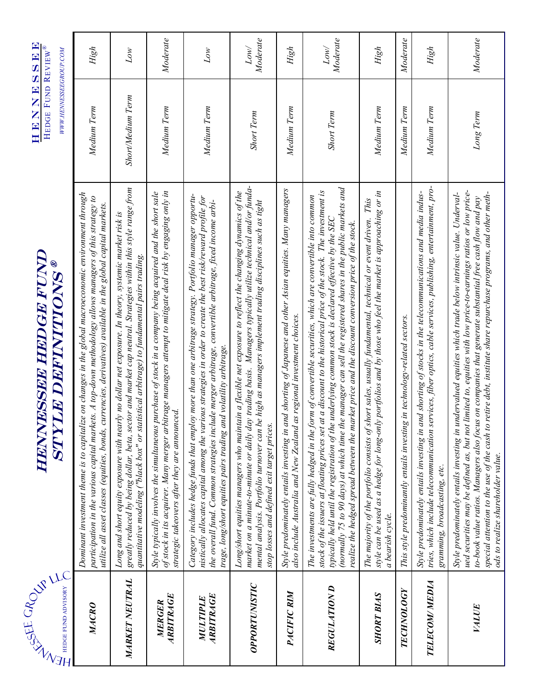# ®

HENNESSEE HEDGE FUND REVIEW®

| HEDGE FUND ADVISORY   | HENNESSEE HEDGE FUND<br><b>STYLE DEFINITIONS®</b>                                                                                                                                                                                                                                                                                                                                                                                                                                                                                                            | HEDGE FUND REVIEW<br>WWW.HENNESSEEGROUP.COM |                  |
|-----------------------|--------------------------------------------------------------------------------------------------------------------------------------------------------------------------------------------------------------------------------------------------------------------------------------------------------------------------------------------------------------------------------------------------------------------------------------------------------------------------------------------------------------------------------------------------------------|---------------------------------------------|------------------|
| MACRO                 | Dominant investment theme is to capitalize on changes in the global macroeconomic environment through<br>participation in the various capital markets. A top-down methodology allows managers of this strategy to<br>utilize all asset classes (equities, bonds, currencies, derivatives) available in the global capital markets.                                                                                                                                                                                                                           | Medium Term                                 | High             |
| <b>MARKET NEUTRAL</b> | greatly reduced by being dollar, beta, sector and market cap neutral. Strategies within this style range from<br>Long and short equity exposure with nearly no dollar net exposure. In theory, systemic market risk is<br>quantitative modeling ("black box" or statistical arbitrage) to fundamental pairs trading.                                                                                                                                                                                                                                         | Short/Medium Term                           | Low              |
| ARBITRAGE<br>MERGER   | of stock in its acquirer. Many merger arbitrage managers attempt to mitigate deal risk by engaging only in<br>Style typically involves the simultaneous purchase of stock in a company being acquired and the short sale<br>strategic takeovers after they are announced.                                                                                                                                                                                                                                                                                    | Medium Term                                 | Moderate         |
| ARBITRAGE<br>MULTIPLE | Category includes hedge funds that employ more than one arbitrage strategy. Portfolio manager opportu-<br>mistically allocates capital among the various strategies in order to create the best risk/reward profile for<br>the overall fund. Common strategies include merger arbitrage, convertible arbitrage, fixed income arbi-<br>trage, long/short equities pairs trading and volatility arbitrage.                                                                                                                                                     | Medium Term                                 | Low              |
| OPPORTUNISTIC         | market on a minute-to-minute or daily day trading basis. Managers typically utilize technical and/or funda-<br>Long/short equities managers who maintain a flexible net exposure to reflect the changing dynamics of the<br>mental analysis. Portfolio turnover can be high as managers implement trading disciplines such as tight<br>stop losses and defined exit target prices.                                                                                                                                                                           | <b>Short Term</b>                           | Moderate<br>Low/ |
| PACIFIC RIM           | Style predominately entails investing in and shorting of Japanese and other Asian equities. Many managers<br>also include Australia and New Zealand as regional investment choices.                                                                                                                                                                                                                                                                                                                                                                          | Medium Term                                 | High             |
| REGULATION D          | (normally 75 to 90 days) at which time the manager can sell the registered shares in the public markets and<br>stock of the issuers at floating prices set at a discount to the historical price of the stock. The investment is<br>The investments are fully hedged in the form of convertible securities, which are convertible into common<br>typically held until the registration of the underlying common stock is declared effective by the SEC<br>realize the hedged spread between the market price and the discount conversion price of the stock. | <b>Short Term</b>                           | Moderate<br>Low/ |
| <b>SHORT BIAS</b>     | style can be used as a hedge for long-only portfolios and by those who feel the market is approaching or in<br>The majority of the portfolio consists of short sales, usually fundamental, technical or event driven. This<br>a bearish cycle.                                                                                                                                                                                                                                                                                                               | Medium Term                                 | High             |
| <b>TECHNOLOGY</b>     | This style predominantly entails investing in technology-related sectors.                                                                                                                                                                                                                                                                                                                                                                                                                                                                                    | Medium Term                                 | Moderate         |
| <b>TELECOM/MEDIA</b>  | tries, which include telecommunication services, fiber optics, cable services, publishing, entertainment, pro-<br>and shorting of stocks in the telecommunications and media indus-<br>Style predominately entails investing in<br>gramming, broadcasting, etc.                                                                                                                                                                                                                                                                                              | Medium Term                                 | High             |
| VALUE                 | ued securities may be defined as, but not limited to, equities with low price-to-earnings ratios or low price-<br>special attention to the use of the cash to retire debt, institute share repurchase programs, and other meth-<br>Style predominately entails investing in undervalued equities which trade below intrinsic value. Underval-<br>to-book value ratios. Managers also focus on companies that generate substantial free cash flow and pay<br>ods to realize shareholder value.                                                                | Long Term                                   | Moderate         |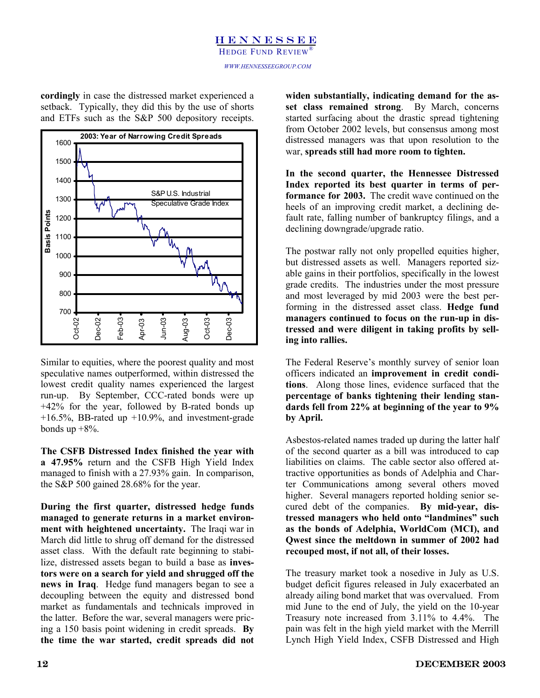# **HENNESSEE** HEDGE FUND REVIEW

*WWW.HENNESSEEGROUP.COM* 

**cordingly** in case the distressed market experienced a setback. Typically, they did this by the use of shorts and ETFs such as the S&P 500 depository receipts.



Similar to equities, where the poorest quality and most speculative names outperformed, within distressed the lowest credit quality names experienced the largest run-up. By September, CCC-rated bonds were up +42% for the year, followed by B-rated bonds up  $+16.5\%$ , BB-rated up  $+10.9\%$ , and investment-grade bonds up  $+8\%$ .

**The CSFB Distressed Index finished the year with a 47.95%** return and the CSFB High Yield Index managed to finish with a 27.93% gain. In comparison, the S&P 500 gained 28.68% for the year.

**During the first quarter, distressed hedge funds managed to generate returns in a market environment with heightened uncertainty.** The Iraqi war in March did little to shrug off demand for the distressed asset class. With the default rate beginning to stabilize, distressed assets began to build a base as **investors were on a search for yield and shrugged off the news in Iraq**. Hedge fund managers began to see a decoupling between the equity and distressed bond market as fundamentals and technicals improved in the latter. Before the war, several managers were pricing a 150 basis point widening in credit spreads. **By the time the war started, credit spreads did not**  **widen substantially, indicating demand for the asset class remained strong**. By March, concerns started surfacing about the drastic spread tightening from October 2002 levels, but consensus among most distressed managers was that upon resolution to the war, **spreads still had more room to tighten.**

**In the second quarter, the Hennessee Distressed Index reported its best quarter in terms of performance for 2003.** The credit wave continued on the heels of an improving credit market, a declining default rate, falling number of bankruptcy filings, and a declining downgrade/upgrade ratio.

The postwar rally not only propelled equities higher, but distressed assets as well. Managers reported sizable gains in their portfolios, specifically in the lowest grade credits. The industries under the most pressure and most leveraged by mid 2003 were the best performing in the distressed asset class. **Hedge fund managers continued to focus on the run-up in distressed and were diligent in taking profits by selling into rallies.**

The Federal Reserve's monthly survey of senior loan officers indicated an **improvement in credit conditions**. Along those lines, evidence surfaced that the **percentage of banks tightening their lending standards fell from 22% at beginning of the year to 9% by April.**

Asbestos-related names traded up during the latter half of the second quarter as a bill was introduced to cap liabilities on claims. The cable sector also offered attractive opportunities as bonds of Adelphia and Charter Communications among several others moved higher. Several managers reported holding senior secured debt of the companies. **By mid-year, distressed managers who held onto "landmines" such as the bonds of Adelphia, WorldCom (MCI), and Qwest since the meltdown in summer of 2002 had recouped most, if not all, of their losses.** 

The treasury market took a nosedive in July as U.S. budget deficit figures released in July exacerbated an already ailing bond market that was overvalued. From mid June to the end of July, the yield on the 10-year Treasury note increased from 3.11% to 4.4%. The pain was felt in the high yield market with the Merrill Lynch High Yield Index, CSFB Distressed and High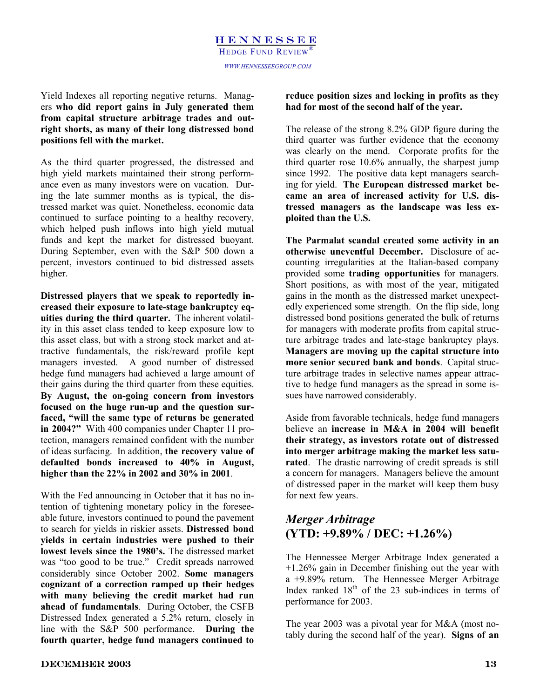*x* return the strategie in the rest of the second half of the year.<br>
From capital structure arbitrage trades and out-<br> **EXECUTE:** The second half of the year. Yield Indexes all reporting negative returns. Manag**from capital structure arbitrage trades and outright shorts, as many of their long distressed bond positions fell with the market.**

As the third quarter progressed, the distressed and high yield markets maintained their strong performance even as many investors were on vacation. During the late summer months as is typical, the distressed market was quiet. Nonetheless, economic data continued to surface pointing to a healthy recovery, which helped push inflows into high yield mutual funds and kept the market for distressed buoyant. During September, even with the S&P 500 down a percent, investors continued to bid distressed assets higher.

**Distressed players that we speak to reportedly increased their exposure to late-stage bankruptcy equities during the third quarter.** The inherent volatility in this asset class tended to keep exposure low to this asset class, but with a strong stock market and attractive fundamentals, the risk/reward profile kept managers invested. A good number of distressed hedge fund managers had achieved a large amount of their gains during the third quarter from these equities. **By August, the on-going concern from investors focused on the huge run-up and the question surfaced, "will the same type of returns be generated in 2004?"** With 400 companies under Chapter 11 protection, managers remained confident with the number of ideas surfacing. In addition, **the recovery value of defaulted bonds increased to 40% in August, higher than the 22% in 2002 and 30% in 2001**.

With the Fed announcing in October that it has no intention of tightening monetary policy in the foreseeable future, investors continued to pound the pavement to search for yields in riskier assets. **Distressed bond yields in certain industries were pushed to their lowest levels since the 1980's.** The distressed market was "too good to be true." Credit spreads narrowed considerably since October 2002. **Some managers cognizant of a correction ramped up their hedges with many believing the credit market had run ahead of fundamentals**. During October, the CSFB Distressed Index generated a 5.2% return, closely in line with the S&P 500 performance. **During the fourth quarter, hedge fund managers continued to** 

### **reduce position sizes and locking in profits as they had for most of the second half of the year.**

The release of the strong 8.2% GDP figure during the third quarter was further evidence that the economy was clearly on the mend. Corporate profits for the third quarter rose 10.6% annually, the sharpest jump since 1992. The positive data kept managers searching for yield. **The European distressed market became an area of increased activity for U.S. distressed managers as the landscape was less exploited than the U.S.**

**The Parmalat scandal created some activity in an otherwise uneventful December.** Disclosure of accounting irregularities at the Italian-based company provided some **trading opportunities** for managers. Short positions, as with most of the year, mitigated gains in the month as the distressed market unexpectedly experienced some strength. On the flip side, long distressed bond positions generated the bulk of returns for managers with moderate profits from capital structure arbitrage trades and late-stage bankruptcy plays. **Managers are moving up the capital structure into more senior secured bank and bonds**. Capital structure arbitrage trades in selective names appear attractive to hedge fund managers as the spread in some issues have narrowed considerably.

Aside from favorable technicals, hedge fund managers believe an **increase in M&A in 2004 will benefit their strategy, as investors rotate out of distressed into merger arbitrage making the market less saturated**. The drastic narrowing of credit spreads is still a concern for managers. Managers believe the amount of distressed paper in the market will keep them busy for next few years.

# *Merger Arbitrage*  **(YTD: +9.89% / DEC: +1.26%)**

The Hennessee Merger Arbitrage Index generated a +1.26% gain in December finishing out the year with a +9.89% return. The Hennessee Merger Arbitrage Index ranked  $18<sup>th</sup>$  of the 23 sub-indices in terms of performance for 2003.

The year 2003 was a pivotal year for M&A (most notably during the second half of the year). **Signs of an**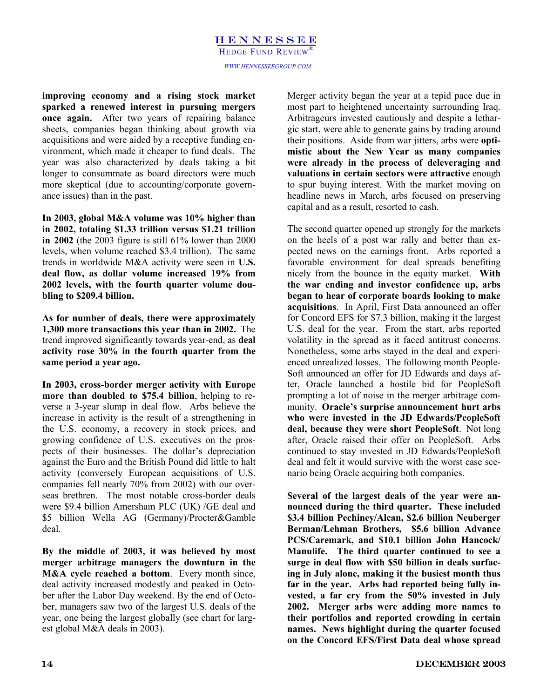**improving economy and a rising stock market sparked a renewed interest in pursuing mergers once again.** After two years of repairing balance sheets, companies began thinking about growth via acquisitions and were aided by a receptive funding environment, which made it cheaper to fund deals. The year was also characterized by deals taking a bit longer to consummate as board directors were much more skeptical (due to accounting/corporate governance issues) than in the past.

**In 2003, global M&A volume was 10% higher than in 2002, totaling \$1.33 trillion versus \$1.21 trillion in 2002** (the 2003 figure is still 61% lower than 2000 levels, when volume reached \$3.4 trillion). The same trends in worldwide M&A activity were seen in **U.S. deal flow, as dollar volume increased 19% from 2002 levels, with the fourth quarter volume doubling to \$209.4 billion.**

**As for number of deals, there were approximately 1,300 more transactions this year than in 2002.** The trend improved significantly towards year-end, as **deal activity rose 30% in the fourth quarter from the same period a year ago.**

**In 2003, cross-border merger activity with Europe more than doubled to \$75.4 billion**, helping to reverse a 3-year slump in deal flow. Arbs believe the increase in activity is the result of a strengthening in the U.S. economy, a recovery in stock prices, and growing confidence of U.S. executives on the prospects of their businesses. The dollar's depreciation against the Euro and the British Pound did little to halt activity (conversely European acquisitions of U.S. companies fell nearly 70% from 2002) with our overseas brethren. The most notable cross-border deals were \$9.4 billion Amersham PLC (UK) /GE deal and \$5 billion Wella AG (Germany)/Procter&Gamble deal.

**By the middle of 2003, it was believed by most merger arbitrage managers the downturn in the M&A cycle reached a bottom**. Every month since, deal activity increased modestly and peaked in October after the Labor Day weekend. By the end of October, managers saw two of the largest U.S. deals of the year, one being the largest globally (see chart for largest global M&A deals in 2003).

Merger activity began the year at a tepid pace due in most part to heightened uncertainty surrounding Iraq. Arbitrageurs invested cautiously and despite a lethargic start, were able to generate gains by trading around their positions. Aside from war jitters, arbs were **optimistic about the New Year as many companies were already in the process of deleveraging and valuations in certain sectors were attractive** enough to spur buying interest. With the market moving on headline news in March, arbs focused on preserving capital and as a result, resorted to cash.

The second quarter opened up strongly for the markets on the heels of a post war rally and better than expected news on the earnings front. Arbs reported a favorable environment for deal spreads benefiting nicely from the bounce in the equity market. **With the war ending and investor confidence up, arbs began to hear of corporate boards looking to make acquisitions**. In April, First Data announced an offer for Concord EFS for \$7.3 billion, making it the largest U.S. deal for the year. From the start, arbs reported volatility in the spread as it faced antitrust concerns. Nonetheless, some arbs stayed in the deal and experienced unrealized losses. The following month People-Soft announced an offer for JD Edwards and days after, Oracle launched a hostile bid for PeopleSoft prompting a lot of noise in the merger arbitrage community. **Oracle's surprise announcement hurt arbs who were invested in the JD Edwards/PeopleSoft deal, because they were short PeopleSoft**. Not long after, Oracle raised their offer on PeopleSoft. Arbs continued to stay invested in JD Edwards/PeopleSoft deal and felt it would survive with the worst case scenario being Oracle acquiring both companies.

**Several of the largest deals of the year were announced during the third quarter. These included \$3.4 billion Pechiney/Alcan, \$2.6 billion Neuberger Berman/Lehman Brothers, \$5.6 billion Advance PCS/Caremark, and \$10.1 billion John Hancock/ Manulife. The third quarter continued to see a surge in deal flow with \$50 billion in deals surfacing in July alone, making it the busiest month thus far in the year. Arbs had reported being fully invested, a far cry from the 50% invested in July 2002. Merger arbs were adding more names to their portfolios and reported crowding in certain names. News highlight during the quarter focused on the Concord EFS/First Data deal whose spread**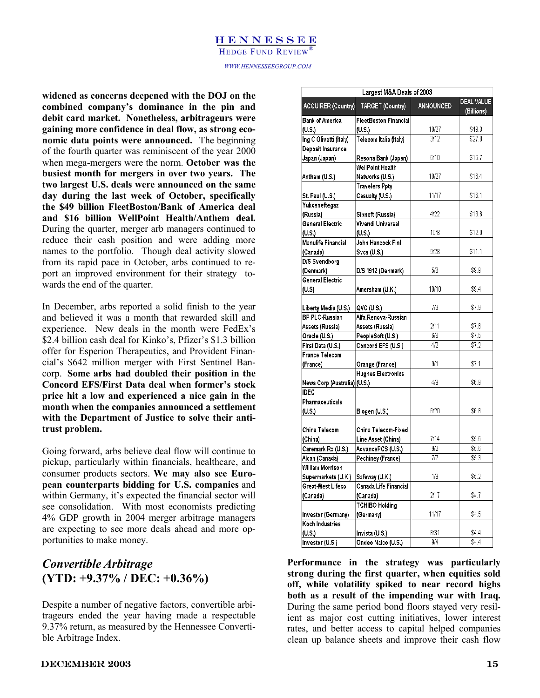### HENNESSEE

HEDGE FUND REVIEW

HEDGE FUND REVIEW®<br>
WWW.HENNESSEEGROUP.COM *WWW.HENNESSEEGROUP.COM* 

 $\overline{\phantom{a}}$ widened as concerns deepened with the DOJ on the **and the Contemposity of the Contemposity** of the pin and company's dominance in the pin and debit card market. Nonetheless arbitrageurs were **combined company's dominance in the pin and debit card market. Nonetheless, arbitrageurs were gaining more confidence in deal flow, as strong economic data points were announced.** The beginning of the fourth quarter was reminiscent of the year 2000 when mega-mergers were the norm. **October was the busiest month for mergers in over two years. The two largest U.S. deals were announced on the same day during the last week of October, specifically the \$49 billion FleetBoston/Bank of America deal and \$16 billion WellPoint Health/Anthem deal.**  During the quarter, merger arb managers continued to reduce their cash position and were adding more names to the portfolio. Though deal activity slowed from its rapid pace in October, arbs continued to report an improved environment for their strategy towards the end of the quarter.

In December, arbs reported a solid finish to the year and believed it was a month that rewarded skill and experience. New deals in the month were FedEx's \$2.4 billion cash deal for Kinko's, Pfizer's \$1.3 billion offer for Esperion Therapeutics, and Provident Financial's \$642 million merger with First Sentinel Bancorp. **Some arbs had doubled their position in the Concord EFS/First Data deal when former's stock price hit a low and experienced a nice gain in the month when the companies announced a settlement with the Department of Justice to solve their antitrust problem.**

Going forward, arbs believe deal flow will continue to pickup, particularly within financials, healthcare, and consumer products sectors. **We may also see European counterparts bidding for U.S. companies** and within Germany, it's expected the financial sector will see consolidation. With most economists predicting 4% GDP growth in 2004 merger arbitrage managers are expecting to see more deals ahead and more opportunities to make money.

# *Convertible Arbitrage* **(YTD: +9.37% / DEC: +0.36%)**

Despite a number of negative factors, convertible arbitrageurs ended the year having made a respectable 9.37% return, as measured by the Hennessee Convertible Arbitrage Index.

| Largest M&A Deals of 2003    |                                              |                  |                          |  |  |
|------------------------------|----------------------------------------------|------------------|--------------------------|--|--|
| <b>ACQUIRER (Country)</b>    | TARGET (Country)                             | <b>ANNOUNCED</b> | DEAL VALUE<br>(Billions) |  |  |
| <b>Bank of America</b>       | FleetBoston Financial                        |                  |                          |  |  |
| (U.S.)                       | (U.S.)                                       | 10/27            | \$49.3                   |  |  |
| Ing C Olivetti (Italy)       | Telecom Italia (Italy)                       | $\frac{3}{12}$   | \$27.8                   |  |  |
| Deposit Insurance            |                                              |                  |                          |  |  |
| Japan (Japan)                | Resona Bank (Japan)                          | 6/10             | \$16.7                   |  |  |
|                              | WellPoint Health                             |                  |                          |  |  |
| Anthem (U.S.)                | Networks (U.S.)                              | 10/27            | \$16.4                   |  |  |
|                              | <b>Travelers Ppty</b>                        |                  |                          |  |  |
| St. Paul (U.S.)              | Casualty (U.S.)                              | 11/17            | \$16.1                   |  |  |
| Yukosneftegaz                |                                              |                  |                          |  |  |
| (Russia)                     | Sibneft (Russia)                             | 4/22             | \$13.6                   |  |  |
| <b>General Electric</b>      | Vivendi Universal                            |                  |                          |  |  |
| (U.S.)                       | (U.S.)                                       | 10/8             | \$12.0                   |  |  |
| Manulife Financial           | John Hancock Finl                            |                  |                          |  |  |
| (Canada)                     | Svcs (U.S.)                                  | 9/28             | \$11.1                   |  |  |
| D/S Svendborg                |                                              |                  |                          |  |  |
| (Denmark)                    | D/S 1912 (Denmark)                           | 5/6              | \$9.9                    |  |  |
| <b>General Electric</b>      |                                              |                  |                          |  |  |
| (U.S)                        | Amersham (U.K.)                              | 10/10            | \$9.4                    |  |  |
|                              |                                              |                  |                          |  |  |
| Liberty Media (U.S.)         | QVC (U.S.)                                   | 7/3              | \$7.9                    |  |  |
| <b>BP PLC-Russian</b>        | Alfa,Renova-Russian                          |                  |                          |  |  |
| Assets (Russia)              | Assets (Russia)                              | 2/11             | \$7.6                    |  |  |
| Oracle (U.S.)                | PeopleSoft (U.S.)                            | 6/6<br>4/2       | \$7.5<br>\$7.2           |  |  |
| First Data (U.S.)            | Concord EFS (U.S.)                           |                  |                          |  |  |
| <b>France Telecom</b>        |                                              | 9/1              | \$7.1                    |  |  |
| (France)                     | Orange (France)<br><b>Hughes Electronics</b> |                  |                          |  |  |
| News Corp (Australia) (U.S.) |                                              | 4/9              | \$6.9                    |  |  |
| <b>IDEC</b>                  |                                              |                  |                          |  |  |
| Pharmaceuticals              |                                              |                  |                          |  |  |
| (U.S.)                       | Biogen (U.S.)                                | 6/20             | \$6.8                    |  |  |
|                              |                                              |                  |                          |  |  |
| China Telecom                | China Telecom-Fixed                          |                  |                          |  |  |
| (China)                      | Line Asset (China)                           | 7/14             | \$5.6                    |  |  |
| Caremark Rx (U.S.)           | AdvancePCS (U.S.)                            | 9/2              | \$5.6                    |  |  |
| Alcan (Canada)               | Pechiney (France)                            | 7/7              | \$5.3                    |  |  |
| William Morrison             |                                              |                  |                          |  |  |
| Supermarkets (U.K.)          | Safeway (U.K.)                               | 1/9              | \$5.2                    |  |  |
| Great-West Lifeco            | Canada Life Financial                        |                  |                          |  |  |
| (Canada)                     | (Canada)                                     | 2/17             | \$4.7                    |  |  |
|                              | <b>TCHIBO Holding</b>                        |                  |                          |  |  |
| Investor (Germany)           | (Germany)                                    | 11/17            | \$4.5                    |  |  |
| Koch Industries              |                                              |                  |                          |  |  |
| (U.S.)                       | Invista (U.S.)                               | 8/31             | \$4.4                    |  |  |
| Investor (U.S.)              | Ondeo Nalco (U.S.)                           | 9/4              | \$4.4                    |  |  |

**Performance in the strategy was particularly strong during the first quarter, when equities sold off, while volatility spiked to near record highs both as a result of the impending war with Iraq.** During the same period bond floors stayed very resilient as major cost cutting initiatives, lower interest rates, and better access to capital helped companies clean up balance sheets and improve their cash flow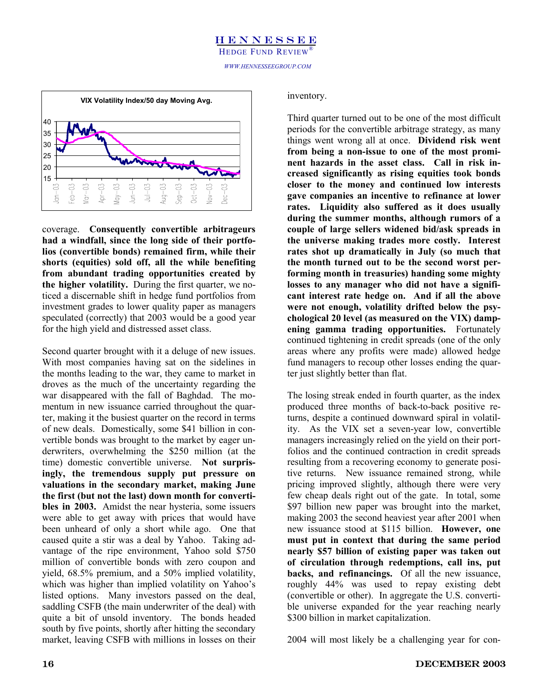

coverage. **Consequently convertible arbitrageurs had a windfall, since the long side of their portfolios (convertible bonds) remained firm, while their shorts (equities) sold off, all the while benefiting from abundant trading opportunities created by the higher volatility.** During the first quarter, we noticed a discernable shift in hedge fund portfolios from investment grades to lower quality paper as managers speculated (correctly) that 2003 would be a good year for the high yield and distressed asset class.

Second quarter brought with it a deluge of new issues. With most companies having sat on the sidelines in the months leading to the war, they came to market in droves as the much of the uncertainty regarding the war disappeared with the fall of Baghdad. The momentum in new issuance carried throughout the quarter, making it the busiest quarter on the record in terms of new deals. Domestically, some \$41 billion in convertible bonds was brought to the market by eager underwriters, overwhelming the \$250 million (at the time) domestic convertible universe. **Not surprisingly, the tremendous supply put pressure on valuations in the secondary market, making June the first (but not the last) down month for convertibles in 2003.** Amidst the near hysteria, some issuers were able to get away with prices that would have been unheard of only a short while ago. One that caused quite a stir was a deal by Yahoo. Taking advantage of the ripe environment, Yahoo sold \$750 million of convertible bonds with zero coupon and yield, 68.5% premium, and a 50% implied volatility, which was higher than implied volatility on Yahoo's listed options. Many investors passed on the deal, saddling CSFB (the main underwriter of the deal) with quite a bit of unsold inventory. The bonds headed south by five points, shortly after hitting the secondary market, leaving CSFB with millions in losses on their inventory.

Third quarter turned out to be one of the most difficult periods for the convertible arbitrage strategy, as many things went wrong all at once. **Dividend risk went from being a non-issue to one of the most prominent hazards in the asset class. Call in risk increased significantly as rising equities took bonds closer to the money and continued low interests gave companies an incentive to refinance at lower rates. Liquidity also suffered as it does usually during the summer months, although rumors of a couple of large sellers widened bid/ask spreads in the universe making trades more costly. Interest rates shot up dramatically in July (so much that the month turned out to be the second worst performing month in treasuries) handing some mighty losses to any manager who did not have a significant interest rate hedge on. And if all the above were not enough, volatility drifted below the psychological 20 level (as measured on the VIX) dampening gamma trading opportunities.** Fortunately continued tightening in credit spreads (one of the only areas where any profits were made) allowed hedge fund managers to recoup other losses ending the quarter just slightly better than flat.

The losing streak ended in fourth quarter, as the index produced three months of back-to-back positive returns, despite a continued downward spiral in volatility. As the VIX set a seven-year low, convertible managers increasingly relied on the yield on their portfolios and the continued contraction in credit spreads resulting from a recovering economy to generate positive returns. New issuance remained strong, while pricing improved slightly, although there were very few cheap deals right out of the gate. In total, some \$97 billion new paper was brought into the market, making 2003 the second heaviest year after 2001 when new issuance stood at \$115 billion. **However, one must put in context that during the same period nearly \$57 billion of existing paper was taken out of circulation through redemptions, call ins, put backs, and refinancings.** Of all the new issuance, roughly 44% was used to repay existing debt (convertible or other). In aggregate the U.S. convertible universe expanded for the year reaching nearly \$300 billion in market capitalization.

2004 will most likely be a challenging year for con-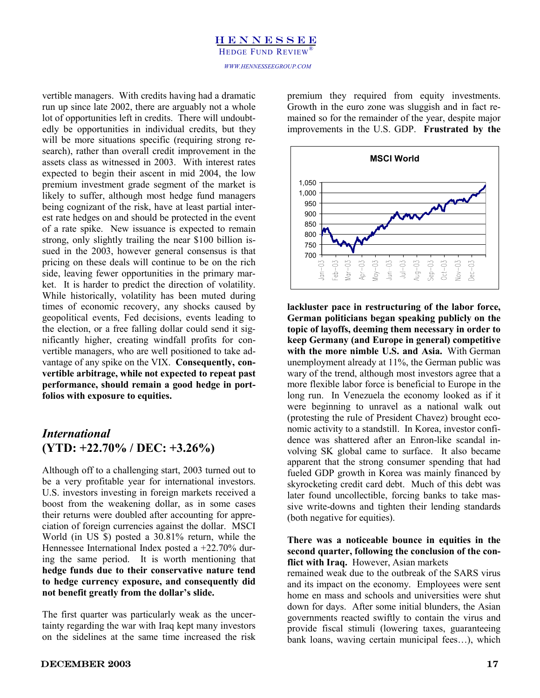Your Strategic Partner vertible managers. With credits having had a dramatic premium they required from equity investments<br>
run up since late 2002, there are arguably not a whole<br>
lot of opportunities left in credits. There will undoubt-<br>
mained run up since late 2002, there are arguably not a whole lot of opportunities left in credits. There will undoubtedly be opportunities in individual credits, but they will be more situations specific (requiring strong research), rather than overall credit improvement in the assets class as witnessed in 2003. With interest rates expected to begin their ascent in mid 2004, the low premium investment grade segment of the market is likely to suffer, although most hedge fund managers being cognizant of the risk, have at least partial interest rate hedges on and should be protected in the event of a rate spike. New issuance is expected to remain strong, only slightly trailing the near \$100 billion issued in the 2003, however general consensus is that pricing on these deals will continue to be on the rich side, leaving fewer opportunities in the primary market. It is harder to predict the direction of volatility. While historically, volatility has been muted during times of economic recovery, any shocks caused by geopolitical events, Fed decisions, events leading to the election, or a free falling dollar could send it significantly higher, creating windfall profits for convertible managers, who are well positioned to take advantage of any spike on the VIX. **Consequently, convertible arbitrage, while not expected to repeat past performance, should remain a good hedge in portfolios with exposure to equities.**

# *International*  **(YTD: +22.70% / DEC: +3.26%)**

Although off to a challenging start, 2003 turned out to be a very profitable year for international investors. U.S. investors investing in foreign markets received a boost from the weakening dollar, as in some cases their returns were doubled after accounting for appreciation of foreign currencies against the dollar. MSCI World (in US \$) posted a 30.81% return, while the Hennessee International Index posted a +22.70% during the same period. It is worth mentioning that **hedge funds due to their conservative nature tend to hedge currency exposure, and consequently did not benefit greatly from the dollar's slide.** 

The first quarter was particularly weak as the uncertainty regarding the war with Iraq kept many investors on the sidelines at the same time increased the risk



**lackluster pace in restructuring of the labor force, German politicians began speaking publicly on the topic of layoffs, deeming them necessary in order to keep Germany (and Europe in general) competitive with the more nimble U.S. and Asia.** With German unemployment already at 11%, the German public was wary of the trend, although most investors agree that a more flexible labor force is beneficial to Europe in the long run. In Venezuela the economy looked as if it were beginning to unravel as a national walk out (protesting the rule of President Chavez) brought economic activity to a standstill. In Korea, investor confidence was shattered after an Enron-like scandal involving SK global came to surface. It also became apparent that the strong consumer spending that had fueled GDP growth in Korea was mainly financed by skyrocketing credit card debt. Much of this debt was later found uncollectible, forcing banks to take massive write-downs and tighten their lending standards (both negative for equities).

### **There was a noticeable bounce in equities in the second quarter, following the conclusion of the conflict with Iraq.** However, Asian markets

remained weak due to the outbreak of the SARS virus and its impact on the economy. Employees were sent home en mass and schools and universities were shut down for days. After some initial blunders, the Asian governments reacted swiftly to contain the virus and provide fiscal stimuli (lowering taxes, guaranteeing bank loans, waving certain municipal fees…), which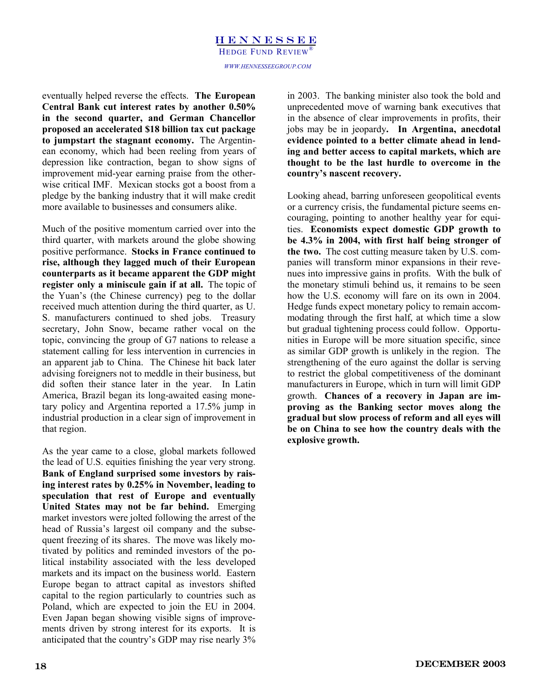### HENNESSEE *WWW.HENNESSEEGROUP.COM*  HEDGE FUND REVIEW®

eventually helped reverse the effects. **The European Central Bank cut interest rates by another 0.50% in the second quarter, and German Chancellor proposed an accelerated \$18 billion tax cut package to jumpstart the stagnant economy.** The Argentinean economy, which had been reeling from years of depression like contraction, began to show signs of improvement mid-year earning praise from the otherwise critical IMF. Mexican stocks got a boost from a pledge by the banking industry that it will make credit more available to businesses and consumers alike.

Much of the positive momentum carried over into the third quarter, with markets around the globe showing positive performance. **Stocks in France continued to rise, although they lagged much of their European counterparts as it became apparent the GDP might register only a miniscule gain if at all.** The topic of the Yuan's (the Chinese currency) peg to the dollar received much attention during the third quarter, as U. S. manufacturers continued to shed jobs. Treasury secretary, John Snow, became rather vocal on the topic, convincing the group of G7 nations to release a statement calling for less intervention in currencies in an apparent jab to China. The Chinese hit back later advising foreigners not to meddle in their business, but did soften their stance later in the year. In Latin America, Brazil began its long-awaited easing monetary policy and Argentina reported a 17.5% jump in industrial production in a clear sign of improvement in that region.

As the year came to a close, global markets followed the lead of U.S. equities finishing the year very strong. **Bank of England surprised some investors by raising interest rates by 0.25% in November, leading to speculation that rest of Europe and eventually United States may not be far behind.** Emerging market investors were jolted following the arrest of the head of Russia's largest oil company and the subsequent freezing of its shares. The move was likely motivated by politics and reminded investors of the political instability associated with the less developed markets and its impact on the business world. Eastern Europe began to attract capital as investors shifted capital to the region particularly to countries such as Poland, which are expected to join the EU in 2004. Even Japan began showing visible signs of improvements driven by strong interest for its exports. It is anticipated that the country's GDP may rise nearly 3%

in 2003. The banking minister also took the bold and unprecedented move of warning bank executives that in the absence of clear improvements in profits, their jobs may be in jeopardy**. In Argentina, anecdotal evidence pointed to a better climate ahead in lending and better access to capital markets, which are thought to be the last hurdle to overcome in the country's nascent recovery.**

Looking ahead, barring unforeseen geopolitical events or a currency crisis, the fundamental picture seems encouraging, pointing to another healthy year for equities. **Economists expect domestic GDP growth to be 4.3% in 2004, with first half being stronger of the two.** The cost cutting measure taken by U.S. companies will transform minor expansions in their revenues into impressive gains in profits. With the bulk of the monetary stimuli behind us, it remains to be seen how the U.S. economy will fare on its own in 2004. Hedge funds expect monetary policy to remain accommodating through the first half, at which time a slow but gradual tightening process could follow. Opportunities in Europe will be more situation specific, since as similar GDP growth is unlikely in the region. The strengthening of the euro against the dollar is serving to restrict the global competitiveness of the dominant manufacturers in Europe, which in turn will limit GDP growth. **Chances of a recovery in Japan are improving as the Banking sector moves along the gradual but slow process of reform and all eyes will be on China to see how the country deals with the explosive growth.**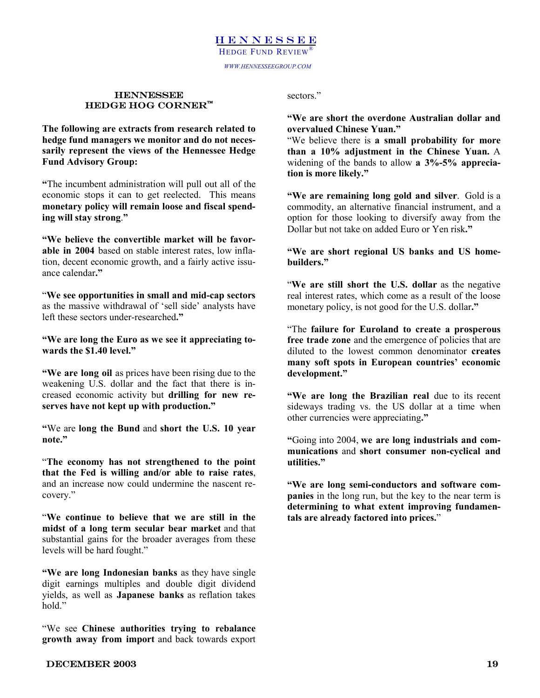*WWW.HENNESSEEGROUP.COM* 

# $\rm{HEDGE}$  HOG CORNER $\rm{^m}$ **in HENNESSEE**<br>**HEDGE HOG CORNER™** 8 sectors."<br>"We are short the overdone Australian dollar and <br>"We are short the overdone Australian dollar and

**The following are extracts from research related to hedge fund managers we monitor and do not necessarily represent the views of the Hennessee Hedge Fund Advisory Group:** 

**"**The incumbent administration will pull out all of the economic stops it can to get reelected. This means **monetary policy will remain loose and fiscal spending will stay strong**.**"** 

**"We believe the convertible market will be favorable in 2004** based on stable interest rates, low inflation, decent economic growth, and a fairly active issuance calendar**."** 

"**We see opportunities in small and mid-cap sectors** as the massive withdrawal of 'sell side' analysts have left these sectors under-researched**."** 

**"We are long the Euro as we see it appreciating towards the \$1.40 level."** 

**"We are long oil** as prices have been rising due to the weakening U.S. dollar and the fact that there is increased economic activity but **drilling for new reserves have not kept up with production."** 

**"**We are **long the Bund** and **short the U.S. 10 year note."** 

"**The economy has not strengthened to the point that the Fed is willing and/or able to raise rates**, and an increase now could undermine the nascent recovery."

"**We continue to believe that we are still in the midst of a long term secular bear market** and that substantial gains for the broader averages from these levels will be hard fought."

**"We are long Indonesian banks** as they have single digit earnings multiples and double digit dividend yields, as well as **Japanese banks** as reflation takes hold"

"We see **Chinese authorities trying to rebalance growth away from import** and back towards export sectors."

**overvalued Chinese Yuan."**

"We believe there is **a small probability for more than a 10% adjustment in the Chinese Yuan.** A widening of the bands to allow **a 3%-5% appreciation is more likely."** 

**"We are remaining long gold and silver**. Gold is a commodity, an alternative financial instrument, and a option for those looking to diversify away from the Dollar but not take on added Euro or Yen risk**."** 

**"We are short regional US banks and US homebuilders."** 

"**We are still short the U.S. dollar** as the negative real interest rates, which come as a result of the loose monetary policy, is not good for the U.S. dollar**."** 

"The **failure for Euroland to create a prosperous free trade zone** and the emergence of policies that are diluted to the lowest common denominator **creates many soft spots in European countries' economic development."** 

**"We are long the Brazilian real** due to its recent sideways trading vs. the US dollar at a time when other currencies were appreciating**."** 

**"**Going into 2004, **we are long industrials and communications** and **short consumer non-cyclical and utilities."** 

**"We are long semi-conductors and software companies** in the long run, but the key to the near term is **determining to what extent improving fundamentals are already factored into prices.**"

### DECEMBER 2003 19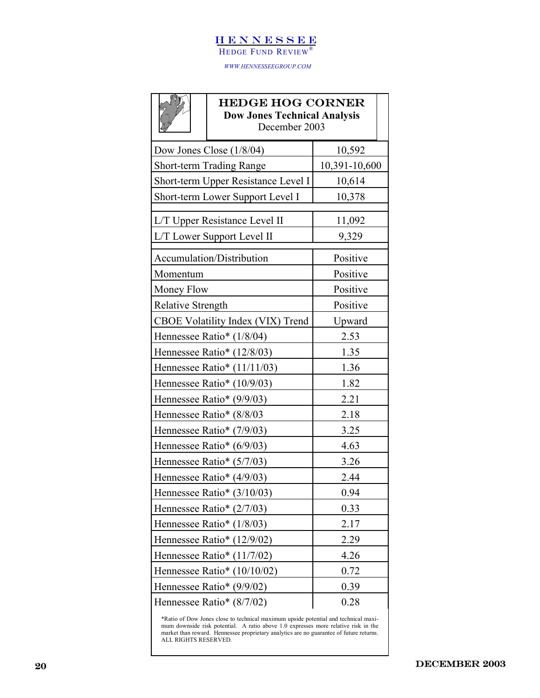### **HENNESSEE**

HEDGE FUND REVIEW®

*WWW.HENNESSEEGROUP.COM* 

|                                   | <b>HEDGE HOG CORNER</b><br><b>Dow Jones Technical Analysis</b><br>December 2003 |               |  |
|-----------------------------------|---------------------------------------------------------------------------------|---------------|--|
|                                   | Dow Jones Close $(1/8/04)$                                                      | 10,592        |  |
|                                   | <b>Short-term Trading Range</b>                                                 | 10,391-10,600 |  |
|                                   | Short-term Upper Resistance Level I                                             | 10,614        |  |
|                                   | Short-term Lower Support Level I                                                | 10,378        |  |
| L/T Upper Resistance Level II     | 11,092                                                                          |               |  |
| L/T Lower Support Level II        | 9,329                                                                           |               |  |
| Accumulation/Distribution         | Positive                                                                        |               |  |
| Momentum                          | Positive                                                                        |               |  |
| Money Flow                        |                                                                                 | Positive      |  |
| <b>Relative Strength</b>          |                                                                                 | Positive      |  |
| CBOE Volatility Index (VIX) Trend |                                                                                 | Upward        |  |
|                                   | Hennessee Ratio* (1/8/04)                                                       | 2.53          |  |
|                                   | Hennessee Ratio* (12/8/03)                                                      | 1.35          |  |
|                                   | Hennessee Ratio* (11/11/03)                                                     | 1.36          |  |
| Hennessee Ratio* (10/9/03)        |                                                                                 | 1.82          |  |
| Hennessee Ratio* (9/9/03)         |                                                                                 | 2.21          |  |
| Hennessee Ratio* (8/8/03)         |                                                                                 | 2.18          |  |
| Hennessee Ratio* (7/9/03)         |                                                                                 | 3.25          |  |
| Hennessee Ratio* $(6/9/03)$       |                                                                                 | 4.63          |  |
| Hennessee Ratio* (5/7/03)         |                                                                                 | 3.26          |  |
| Hennessee Ratio* $(4/9/03)$       |                                                                                 | 2.44          |  |
| Hennessee Ratio* (3/10/03)        |                                                                                 | 0.94          |  |
| Hennessee Ratio* (2/7/03)         |                                                                                 | 0.33          |  |
| Hennessee Ratio* $(1/8/03)$       |                                                                                 | 2.17          |  |
|                                   | Hennessee Ratio* (12/9/02)                                                      | 2.29          |  |
|                                   | Hennessee Ratio* $(11/7/02)$                                                    | 4.26          |  |
|                                   | Hennessee Ratio* $(10/10/02)$                                                   | 0.72          |  |
|                                   | Hennessee Ratio* (9/9/02)                                                       | 0.39          |  |
|                                   | Hennessee Ratio* (8/7/02)                                                       | 0.28          |  |

\*Ratio of Dow Jones close to technical maximum upside potential and technical maximum downside risk potential. A ratio above 1.0 expresses more relative risk in the market than reward. Hennessee proprietary analytics are no guarantee of future returns. ALL RIGHTS RESERVED.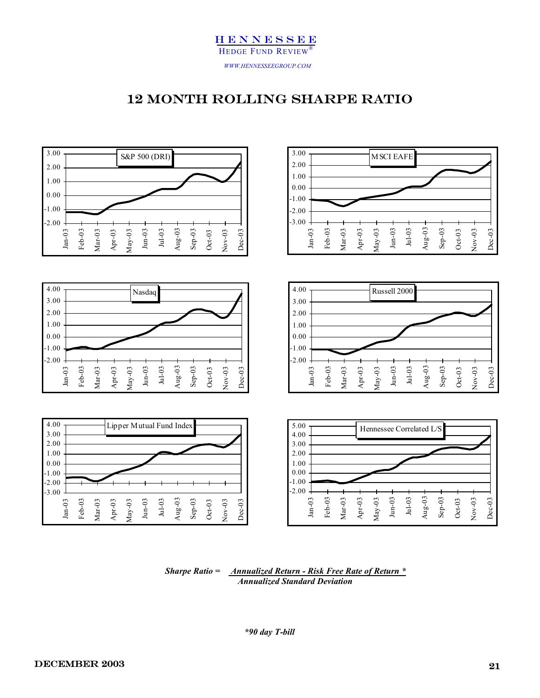



 *Sharpe Ratio = Annualized Return - Risk Free Rate of Return \* Annualized Standard Deviation*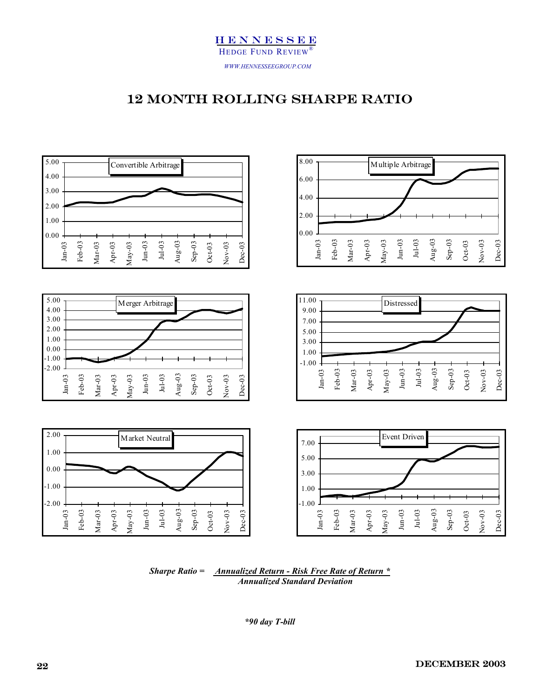



*Sharpe Ratio = Annualized Return - Risk Free Rate of Return \* Annualized Standard Deviation*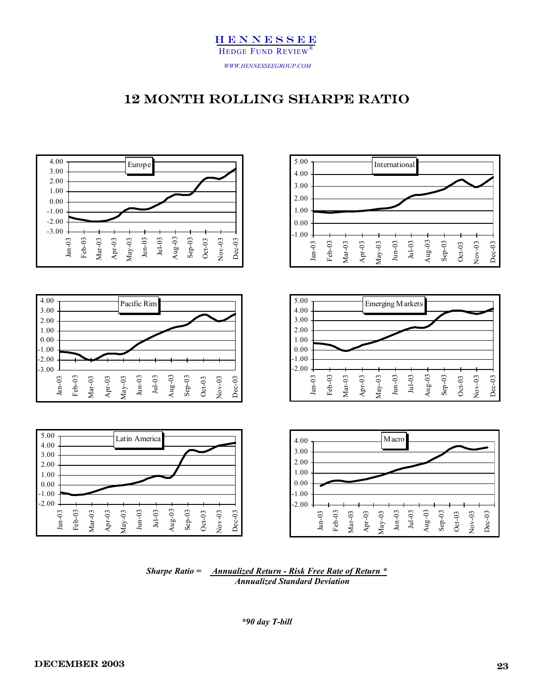



*Sharpe Ratio = Annualized Return - Risk Free Rate of Return \* Annualized Standard Deviation*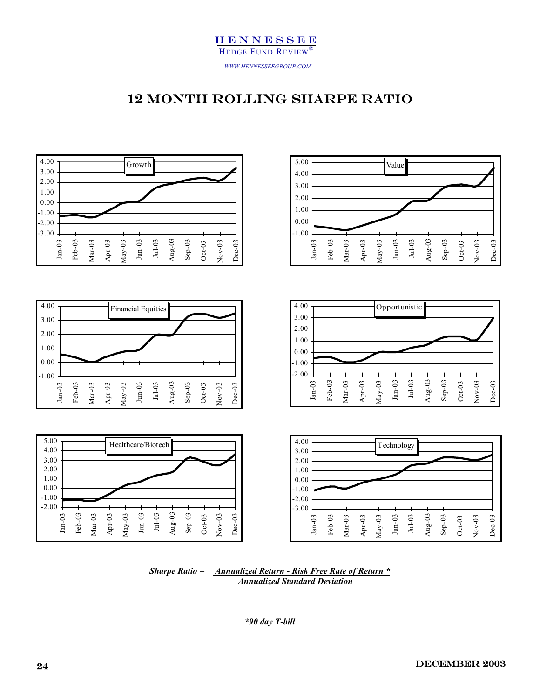



*Sharpe Ratio = Annualized Return - Risk Free Rate of Return \* Annualized Standard Deviation*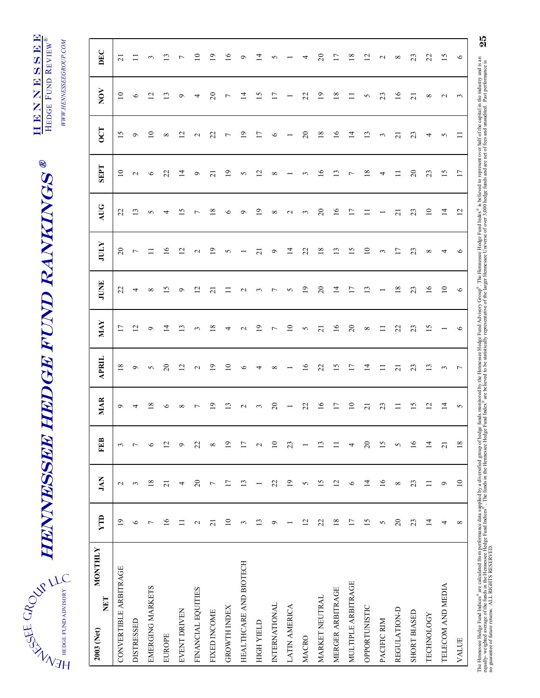# HEDGE FUND ADVISORY

# HENNESSEE HEDGE FUND RANKINGS  $\tilde{\vec{z}}^{\text{SSE GRO}}_{\vec{z}}$  HENNIESSEE HEDGE FUND RANKINGS  $^{\text{\textregistered}}_{\vec{z}}$ **EENNNEE**

WWW.HENNESSEEGROUP.COM HEDGE FUND REVIEW  $^\circ$ *WWW.HENNESSEEGROUP.COM*  HEDGE FUND REVIEW®

Г

HENNESSEE

| <b>MONTHLY</b><br>NET<br>2003 (Net) | YTD             | JAN                      | E                        | <b>MAR</b>               | <b>APRIL</b>    | MAY                               | JUNE                     | <b>JULY</b>                           | AUG                               | <b>SEPT</b>         | $\overline{C}$      | NOV             | DEC            |
|-------------------------------------|-----------------|--------------------------|--------------------------|--------------------------|-----------------|-----------------------------------|--------------------------|---------------------------------------|-----------------------------------|---------------------|---------------------|-----------------|----------------|
| CONVERTIBLE ARBITRAGE               | $\overline{19}$ | $\mathbf{c}$             | $\epsilon$               | $\circ$                  | $^{\circ}$      | $\overline{17}$                   | $\overline{c}$           | 20                                    | $\overline{c}$                    | $\Omega$            | S                   | $\overline{10}$ | $\sim$         |
| <b>DISTRESSED</b>                   | $\circ$         | $\epsilon$               | $\overline{\phantom{a}}$ | 4                        | ◦               | $\overline{2}$                    | 4                        | $\overline{ }$                        | $\Xi$                             | $\mathbf{\Omega}$   | $\sigma$            | $\circ$         | $\equiv$       |
| EMERGING MARKETS                    | $\overline{ }$  | $18\,$                   | $\bullet$                | 18                       | $\Omega$        | $\circ$                           | ${}^{\circ}$             |                                       | 5                                 | $\circ$             | $\subseteq$         | $\sim$          | $\epsilon$     |
| EUROPE                              | $\overline{16}$ | $\overline{21}$          | $\overline{c}$           | $\circ$                  | $\overline{c}$  | 4                                 | $\overline{15}$          | $\stackrel{\circ}{\scriptstyle\circ}$ | 4                                 | 22                  | ${}^{\circ}$        | $\omega$        | $\mathbf{r}$   |
| EVENT DRIVEN                        | $\equiv$        | 4                        | $\circ$                  | $\infty$                 | 12              | $\mathbf{r}$                      | $\sigma$                 | $\overline{c}$                        | S                                 | $\vec{a}$           | $\overline{c}$      | $\circ$         | ∼              |
| FINANCIAL EQUITIES                  | $\mathbf{C}$    | $\overline{c}$           | 22                       | $\overline{ }$           | $\mathbf{\sim}$ | 3                                 | $\overline{c}$           | $\mathbf{\sim}$                       | $\overline{ }$                    | $\circ$             | $\mathbf{\Omega}$   | 4               | $\Xi$          |
| FIXED INCOME                        | $\overline{z}$  | $\overline{ }$           | $\infty$                 | $\overline{1}$           | $\circ$         | ∞                                 | $\overline{c}$           | ๑                                     | $^{\infty}$                       | $\overline{\Omega}$ | 22                  | $\overline{c}$  | $\overline{1}$ |
| <b>GROWTH INDEX</b>                 | $\overline{10}$ | $\overline{17}$          | $\overline{19}$          | 13                       | $\overline{10}$ | 4                                 | $\Xi$                    | n                                     | $\circ$                           | $\overline{19}$     | $\overline{ }$      | $\overline{ }$  | $\frac{6}{1}$  |
| HEALTHCARE AND BIOTECH              | $\epsilon$      | 13                       | $\overline{17}$          | $\sim$                   | $\circ$         | $\sim$                            | $\mathbf{C}$             |                                       | $\circ$                           | S                   | $\overline{19}$     | $\bar{4}$       | $\circ$        |
| HIGH YIELD                          | 13              | $\overline{\phantom{0}}$ | $\sim$                   | $\mathfrak{c}$           | 4               | $\mathsf{D}% _{\mathsf{C}}^{(n)}$ | $\mathfrak{c}$           | ಸ                                     | $\mathsf{D}% _{\mathsf{C}}^{(n)}$ | 12                  | 17                  | $\overline{15}$ | Ξ,             |
| INTERNATIONAL                       | ٥               | 22                       | $\overline{10}$          | $\overline{c}$           | $\infty$        | $\overline{ }$                    | $\overline{ }$           | ۰                                     | ${}^{\circ}$                      | ${}^{\circ}$        | $\circ$             | 17              | 5              |
| LATIN AMERICA                       |                 | $\overline{19}$          | 23                       | $\overline{\phantom{0}}$ |                 | $\Xi$                             | 5                        | $\vec{a}$                             | $\sim$                            |                     |                     |                 |                |
| MACRO                               | 12              | 5                        |                          | 22                       | $\frac{6}{2}$   | 5                                 | $\overline{1}$           | 22                                    | $\mathfrak{g}$                    | 3                   | $\overline{c}$      | 22              | 4              |
| <b>MARKET NEUTRAL</b>               | 22              | 15                       | 13                       | $\overline{16}$          | 22              | ಸ                                 | $\overline{c}$           | 18                                    | $\Omega$                          | $\frac{6}{2}$       | 18                  | $\Xi$           | 20             |
| MERGER ARBITRAGE                    | 18              | 12                       | Ξ                        | 17                       | 15              | $\widetilde{\phantom{a}}$         | $\overline{4}$           | 13                                    | $\tilde{=}$                       | $\Xi$               | $\frac{6}{2}$       | $\frac{8}{1}$   | 17             |
| MULTIPLE ARBITRAGE                  | $\overline{17}$ | $\circ$                  | 4                        | $\overline{10}$          | 17              | $\Omega$                          | $\overline{17}$          | 15                                    | $\overline{17}$                   | $\overline{ }$      | $\overline{4}$      | $\Box$          | $\frac{8}{2}$  |
| OPPORTUNISTIC                       | 15              | $\overline{1}$           | $\overline{c}$           | 21                       | $\overline{1}$  | ${}^{\circ}$                      | 13                       | $\overline{10}$                       | $\Box$                            | 18                  | 13                  | 5               | 12             |
| PACIFIC RIM                         | 5               | $\frac{6}{1}$            | 15                       | 23                       | $\Xi$           | $\Box$                            | $\overline{\phantom{0}}$ | $\mathfrak{c}$                        |                                   | 4                   | $\epsilon$          | 23              | $\sim$         |
| REGULATION-D                        | $\Omega$        | $\infty$                 | 5                        | $\equiv$                 | $\overline{z}$  | 22                                | $18\,$                   | n                                     | $\overline{c}$                    | $\equiv$            | $\overline{\Omega}$ | $\widetilde{=}$ | $^{\circ}$     |
| <b>SHORT BIASED</b>                 | 23              | 23                       | $\overline{16}$          | 15                       | 23              | 23                                | 23                       | 23                                    | 23                                | $\Omega$            | 23                  | $\overline{21}$ | 23             |
| <b>TECHNOLOGY</b>                   | $\overline{4}$  | $\Xi$                    | $\overline{1}$           | $\overline{12}$          | $\mathfrak{c}$  | ω,                                | $\overline{16}$          | ${}^{\circ}$                          | $\overline{10}$                   | 23                  | 4                   | $^{\circ}$      | 22             |
| TELECOM AND MEDIA                   | 4               | $\sigma$                 | $\overline{21}$          | $\overline{1}$           | $\mathfrak{g}$  |                                   | 10                       | 4                                     | $\vec{a}$                         | 15                  | 5                   | $\sim$          | 15             |
| VALUE                               | $\infty$        | $\overline{10}$          | $18\,$                   | $\sim$                   | $\overline{r}$  | $\circ$                           | $\bullet$                | $\circ$                               | $\overline{2}$                    | $\overline{17}$     | $\Box$              | $\epsilon$      | $\circ$        |

25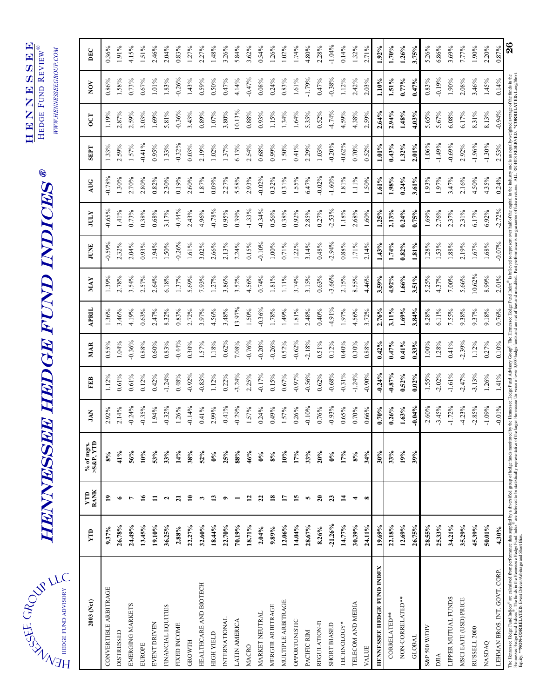| HEDGE FUND ADVISORY |
|---------------------|
|                     |
|                     |
|                     |

# **HENNESSEE HEDGE FUND INDICES®** HENNESSEE HEDGE FUND INDICES ®

HENNESSE HENNESSEE HEDGE FUND  $\texttt{REVIEW}^{\circledR}$ HEDGE FUND REVIEW®

*WWW.HENNESSEEGROUP.COM* 

WWW.HENNESSEEGROUP.COM

| $-0.26%$<br>1.83%<br>1.43%<br>0.59%<br>0.50%<br>0.47%<br>1.58%<br>0.73%<br>0.67%<br>1.01%<br>0.86%<br>$-0.36%$<br>0.89%<br>3.80%<br>2.59%<br>3.03%<br>5.81%<br>3.43%<br>1.07%<br>2.87%<br>1.69%<br>1.19%<br>$-0.41%$<br>$-0.32%$<br>0.03%<br>2.19%<br>1.02%<br>1.57%<br>0.95%<br>1.33%<br>1.37%<br>2.59%<br>1.33%<br>$-0.78%$<br>$1.30\%$<br>2.70%<br>2.80%<br>2.60%<br>1.87%<br>2.27%<br>0.82%<br>2.30%<br>0.19%<br>0.09%<br>$-0.44%$<br>$-0.78%$<br>$-0.65%$<br>0.68%<br>2.43%<br>4.96%<br>0.95%<br>0.73%<br>0.38%<br>3.17%<br>1.41%<br>$-0.59%$<br>$-0.26%$<br>0.93%<br>1.50%<br>1.61%<br>3.02%<br>2.66%<br>2.13%<br>2.32%<br>2.04%<br>1.94%<br>1.37%<br>5.69%<br>7.93%<br>1.27%<br>3.86%<br>2.78%<br>3.54%<br>2.57%<br>2.64%<br>6.18%<br>1.39%<br>3.48%<br>4.19%<br>0.63%<br>8.32%<br>0.83%<br>2.72%<br>3.97%<br>4.56%<br>3.46%<br>2.47%<br>1.36%<br>$-0.62%$<br>$-0.36%$<br>$-0.44%$<br>0.88%<br>0.60%<br>0.30%<br>1.57%<br>1.18%<br>1.04%<br>0.83%<br>0.55% |
|-------------------------------------------------------------------------------------------------------------------------------------------------------------------------------------------------------------------------------------------------------------------------------------------------------------------------------------------------------------------------------------------------------------------------------------------------------------------------------------------------------------------------------------------------------------------------------------------------------------------------------------------------------------------------------------------------------------------------------------------------------------------------------------------------------------------------------------------------------------------------------------------------------------------------------------------------------------------|
|                                                                                                                                                                                                                                                                                                                                                                                                                                                                                                                                                                                                                                                                                                                                                                                                                                                                                                                                                                   |
|                                                                                                                                                                                                                                                                                                                                                                                                                                                                                                                                                                                                                                                                                                                                                                                                                                                                                                                                                                   |
|                                                                                                                                                                                                                                                                                                                                                                                                                                                                                                                                                                                                                                                                                                                                                                                                                                                                                                                                                                   |
|                                                                                                                                                                                                                                                                                                                                                                                                                                                                                                                                                                                                                                                                                                                                                                                                                                                                                                                                                                   |
|                                                                                                                                                                                                                                                                                                                                                                                                                                                                                                                                                                                                                                                                                                                                                                                                                                                                                                                                                                   |
| $-0.92%$<br>$-0.83%$<br>0.48%<br>1.12%<br>0.22%                                                                                                                                                                                                                                                                                                                                                                                                                                                                                                                                                                                                                                                                                                                                                                                                                                                                                                                   |
| $-0.14%$<br>$-0.41%$<br>0.41%<br>2.99%<br>38%<br>52%                                                                                                                                                                                                                                                                                                                                                                                                                                                                                                                                                                                                                                                                                                                                                                                                                                                                                                              |
| 25%<br>$0\%$<br>13<br>3<br>$\bullet$                                                                                                                                                                                                                                                                                                                                                                                                                                                                                                                                                                                                                                                                                                                                                                                                                                                                                                                              |
| 18.44%<br>22.70%                                                                                                                                                                                                                                                                                                                                                                                                                                                                                                                                                                                                                                                                                                                                                                                                                                                                                                                                                  |
|                                                                                                                                                                                                                                                                                                                                                                                                                                                                                                                                                                                                                                                                                                                                                                                                                                                                                                                                                                   |